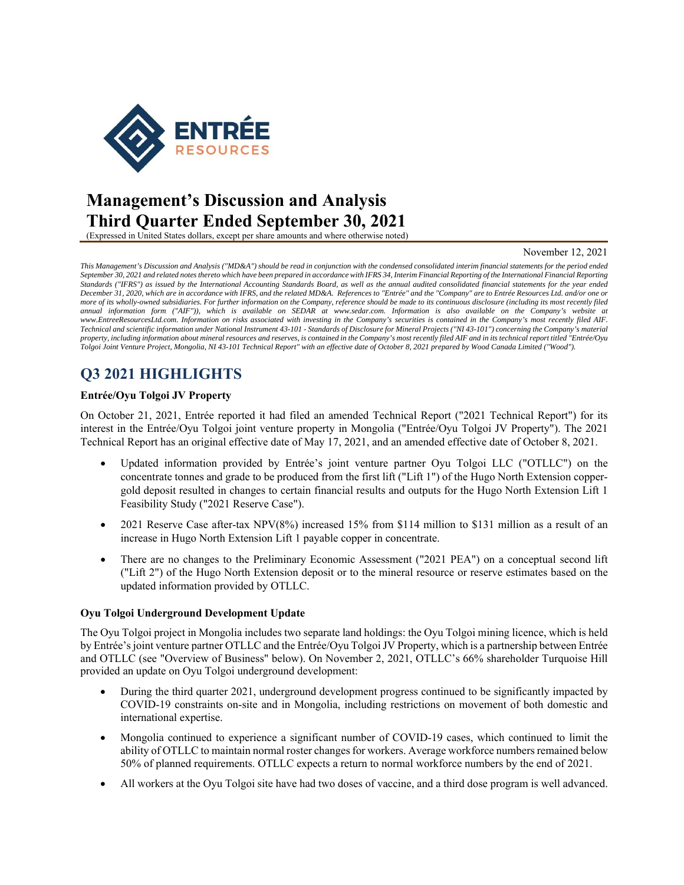

# **Management's Discussion and Analysis Third Quarter Ended September 30, 2021**

(Expressed in United States dollars, except per share amounts and where otherwise noted)

#### November 12, 2021

*This Management's Discussion and Analysis ("MD&A") should be read in conjunction with the condensed consolidated interim financial statements for the period ended September 30, 2021 and related notes thereto which have been prepared in accordance with IFRS 34, Interim Financial Reporting of the International Financial Reporting Standards ("IFRS") as issued by the International Accounting Standards Board, as well as the annual audited consolidated financial statements for the year ended December 31, 2020, which are in accordance with IFRS, and the related MD&A. References to "Entrée" and the "Company" are to Entrée Resources Ltd. and/or one or more of its wholly-owned subsidiaries. For further information on the Company, reference should be made to its continuous disclosure (including its most recently filed*  annual information form ("AIF")), which is available on SEDAR at www.sedar.com. Information is also available on the Company's website at *www.EntreeResourcesLtd.com. Information on risks associated with investing in the Company's securities is contained in the Company's most recently filed AIF. Technical and scientific information under National Instrument 43-101 - Standards of Disclosure for Mineral Projects ("NI 43-101") concerning the Company's material property, including information about mineral resources and reserves, is contained in the Company's most recently filed AIF and in its technical report titled "Entrée/Oyu Tolgoi Joint Venture Project, Mongolia, NI 43-101 Technical Report" with an effective date of October 8, 2021 prepared by Wood Canada Limited ("Wood").* 

# **Q3 2021 HIGHLIGHTS**

## **Entrée/Oyu Tolgoi JV Property**

On October 21, 2021, Entrée reported it had filed an amended Technical Report ("2021 Technical Report") for its interest in the Entrée/Oyu Tolgoi joint venture property in Mongolia ("Entrée/Oyu Tolgoi JV Property"). The 2021 Technical Report has an original effective date of May 17, 2021, and an amended effective date of October 8, 2021.

- Updated information provided by Entrée's joint venture partner Oyu Tolgoi LLC ("OTLLC") on the concentrate tonnes and grade to be produced from the first lift ("Lift 1") of the Hugo North Extension coppergold deposit resulted in changes to certain financial results and outputs for the Hugo North Extension Lift 1 Feasibility Study ("2021 Reserve Case").
- 2021 Reserve Case after-tax NPV(8%) increased 15% from \$114 million to \$131 million as a result of an increase in Hugo North Extension Lift 1 payable copper in concentrate.
- There are no changes to the Preliminary Economic Assessment ("2021 PEA") on a conceptual second lift ("Lift 2") of the Hugo North Extension deposit or to the mineral resource or reserve estimates based on the updated information provided by OTLLC.

## **Oyu Tolgoi Underground Development Update**

The Oyu Tolgoi project in Mongolia includes two separate land holdings: the Oyu Tolgoi mining licence, which is held by Entrée's joint venture partner OTLLC and the Entrée/Oyu Tolgoi JV Property, which is a partnership between Entrée and OTLLC (see "Overview of Business" below). On November 2, 2021, OTLLC's 66% shareholder Turquoise Hill provided an update on Oyu Tolgoi underground development:

- During the third quarter 2021, underground development progress continued to be significantly impacted by COVID-19 constraints on-site and in Mongolia, including restrictions on movement of both domestic and international expertise.
- Mongolia continued to experience a significant number of COVID-19 cases, which continued to limit the ability of OTLLC to maintain normal roster changes for workers. Average workforce numbers remained below 50% of planned requirements. OTLLC expects a return to normal workforce numbers by the end of 2021.
- All workers at the Oyu Tolgoi site have had two doses of vaccine, and a third dose program is well advanced.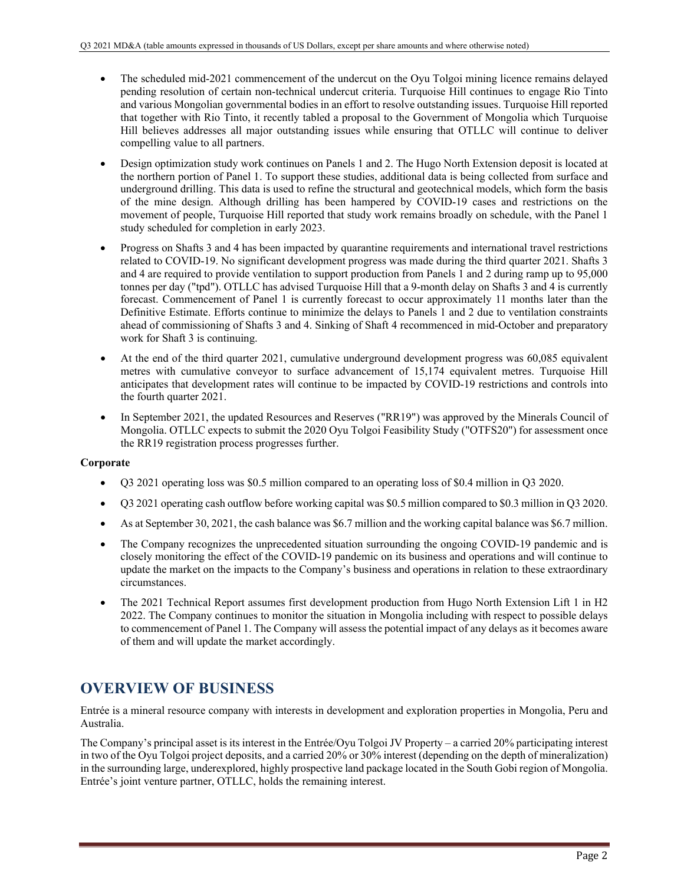- The scheduled mid-2021 commencement of the undercut on the Oyu Tolgoi mining licence remains delayed pending resolution of certain non-technical undercut criteria. Turquoise Hill continues to engage Rio Tinto and various Mongolian governmental bodies in an effort to resolve outstanding issues. Turquoise Hill reported that together with Rio Tinto, it recently tabled a proposal to the Government of Mongolia which Turquoise Hill believes addresses all major outstanding issues while ensuring that OTLLC will continue to deliver compelling value to all partners.
- Design optimization study work continues on Panels 1 and 2. The Hugo North Extension deposit is located at the northern portion of Panel 1. To support these studies, additional data is being collected from surface and underground drilling. This data is used to refine the structural and geotechnical models, which form the basis of the mine design. Although drilling has been hampered by COVID-19 cases and restrictions on the movement of people, Turquoise Hill reported that study work remains broadly on schedule, with the Panel 1 study scheduled for completion in early 2023.
- Progress on Shafts 3 and 4 has been impacted by quarantine requirements and international travel restrictions related to COVID-19. No significant development progress was made during the third quarter 2021. Shafts 3 and 4 are required to provide ventilation to support production from Panels 1 and 2 during ramp up to 95,000 tonnes per day ("tpd"). OTLLC has advised Turquoise Hill that a 9-month delay on Shafts 3 and 4 is currently forecast. Commencement of Panel 1 is currently forecast to occur approximately 11 months later than the Definitive Estimate. Efforts continue to minimize the delays to Panels 1 and 2 due to ventilation constraints ahead of commissioning of Shafts 3 and 4. Sinking of Shaft 4 recommenced in mid-October and preparatory work for Shaft 3 is continuing.
- At the end of the third quarter 2021, cumulative underground development progress was 60,085 equivalent metres with cumulative conveyor to surface advancement of 15,174 equivalent metres. Turquoise Hill anticipates that development rates will continue to be impacted by COVID-19 restrictions and controls into the fourth quarter 2021.
- In September 2021, the updated Resources and Reserves ("RR19") was approved by the Minerals Council of Mongolia. OTLLC expects to submit the 2020 Oyu Tolgoi Feasibility Study ("OTFS20") for assessment once the RR19 registration process progresses further.

## **Corporate**

- Q3 2021 operating loss was \$0.5 million compared to an operating loss of \$0.4 million in Q3 2020.
- Q3 2021 operating cash outflow before working capital was \$0.5 million compared to \$0.3 million in Q3 2020.
- As at September 30, 2021, the cash balance was \$6.7 million and the working capital balance was \$6.7 million.
- The Company recognizes the unprecedented situation surrounding the ongoing COVID-19 pandemic and is closely monitoring the effect of the COVID-19 pandemic on its business and operations and will continue to update the market on the impacts to the Company's business and operations in relation to these extraordinary circumstances.
- The 2021 Technical Report assumes first development production from Hugo North Extension Lift 1 in H2 2022. The Company continues to monitor the situation in Mongolia including with respect to possible delays to commencement of Panel 1. The Company will assess the potential impact of any delays as it becomes aware of them and will update the market accordingly.

## **OVERVIEW OF BUSINESS**

Entrée is a mineral resource company with interests in development and exploration properties in Mongolia, Peru and Australia.

The Company's principal asset is its interest in the Entrée/Oyu Tolgoi JV Property – a carried 20% participating interest in two of the Oyu Tolgoi project deposits, and a carried 20% or 30% interest (depending on the depth of mineralization) in the surrounding large, underexplored, highly prospective land package located in the South Gobi region of Mongolia. Entrée's joint venture partner, OTLLC, holds the remaining interest.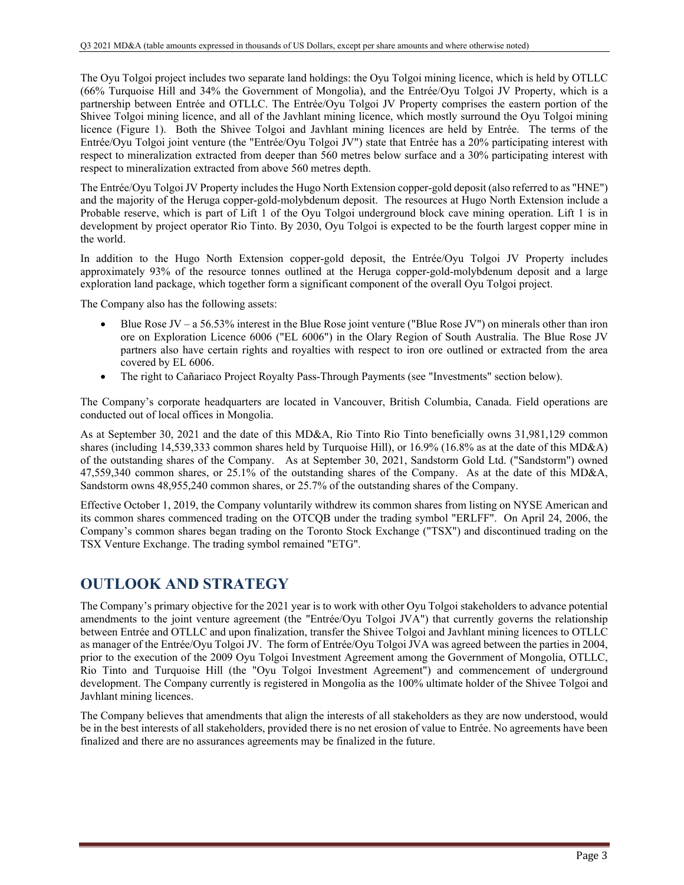The Oyu Tolgoi project includes two separate land holdings: the Oyu Tolgoi mining licence, which is held by OTLLC (66% Turquoise Hill and 34% the Government of Mongolia), and the Entrée/Oyu Tolgoi JV Property, which is a partnership between Entrée and OTLLC. The Entrée/Oyu Tolgoi JV Property comprises the eastern portion of the Shivee Tolgoi mining licence, and all of the Javhlant mining licence, which mostly surround the Oyu Tolgoi mining licence (Figure 1). Both the Shivee Tolgoi and Javhlant mining licences are held by Entrée. The terms of the Entrée/Oyu Tolgoi joint venture (the "Entrée/Oyu Tolgoi JV") state that Entrée has a 20% participating interest with respect to mineralization extracted from deeper than 560 metres below surface and a 30% participating interest with respect to mineralization extracted from above 560 metres depth.

The Entrée/Oyu Tolgoi JV Property includes the Hugo North Extension copper-gold deposit (also referred to as "HNE") and the majority of the Heruga copper-gold-molybdenum deposit. The resources at Hugo North Extension include a Probable reserve, which is part of Lift 1 of the Oyu Tolgoi underground block cave mining operation. Lift 1 is in development by project operator Rio Tinto. By 2030, Oyu Tolgoi is expected to be the fourth largest copper mine in the world.

In addition to the Hugo North Extension copper-gold deposit, the Entrée/Oyu Tolgoi JV Property includes approximately 93% of the resource tonnes outlined at the Heruga copper-gold-molybdenum deposit and a large exploration land package, which together form a significant component of the overall Oyu Tolgoi project.

The Company also has the following assets:

- Blue Rose JV a 56.53% interest in the Blue Rose joint venture ("Blue Rose JV") on minerals other than iron ore on Exploration Licence 6006 ("EL 6006") in the Olary Region of South Australia. The Blue Rose JV partners also have certain rights and royalties with respect to iron ore outlined or extracted from the area covered by EL 6006.
- The right to Cañariaco Project Royalty Pass-Through Payments (see "Investments" section below).

The Company's corporate headquarters are located in Vancouver, British Columbia, Canada. Field operations are conducted out of local offices in Mongolia.

As at September 30, 2021 and the date of this MD&A, Rio Tinto Rio Tinto beneficially owns 31,981,129 common shares (including 14,539,333 common shares held by Turquoise Hill), or 16.9% (16.8% as at the date of this MD&A) of the outstanding shares of the Company. As at September 30, 2021, Sandstorm Gold Ltd. ("Sandstorm") owned 47,559,340 common shares, or 25.1% of the outstanding shares of the Company. As at the date of this MD&A, Sandstorm owns 48,955,240 common shares, or 25.7% of the outstanding shares of the Company.

Effective October 1, 2019, the Company voluntarily withdrew its common shares from listing on NYSE American and its common shares commenced trading on the OTCQB under the trading symbol "ERLFF". On April 24, 2006, the Company's common shares began trading on the Toronto Stock Exchange ("TSX") and discontinued trading on the TSX Venture Exchange. The trading symbol remained "ETG".

## **OUTLOOK AND STRATEGY**

The Company's primary objective for the 2021 year is to work with other Oyu Tolgoi stakeholders to advance potential amendments to the joint venture agreement (the "Entrée/Oyu Tolgoi JVA") that currently governs the relationship between Entrée and OTLLC and upon finalization, transfer the Shivee Tolgoi and Javhlant mining licences to OTLLC as manager of the Entrée/Oyu Tolgoi JV. The form of Entrée/Oyu Tolgoi JVA was agreed between the parties in 2004, prior to the execution of the 2009 Oyu Tolgoi Investment Agreement among the Government of Mongolia, OTLLC, Rio Tinto and Turquoise Hill (the "Oyu Tolgoi Investment Agreement") and commencement of underground development. The Company currently is registered in Mongolia as the 100% ultimate holder of the Shivee Tolgoi and Javhlant mining licences.

The Company believes that amendments that align the interests of all stakeholders as they are now understood, would be in the best interests of all stakeholders, provided there is no net erosion of value to Entrée. No agreements have been finalized and there are no assurances agreements may be finalized in the future.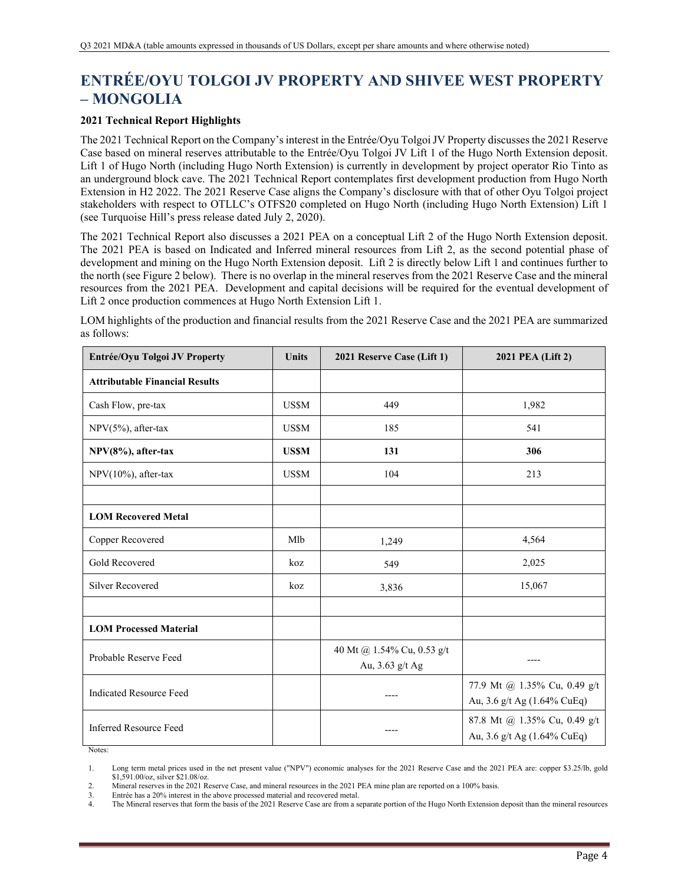# **ENTRÉE/OYU TOLGOI JV PROPERTY AND SHIVEE WEST PROPERTY – MONGOLIA**

## **2021 Technical Report Highlights**

The 2021 Technical Report on the Company's interest in the Entrée/Oyu Tolgoi JV Property discusses the 2021 Reserve Case based on mineral reserves attributable to the Entrée/Oyu Tolgoi JV Lift 1 of the Hugo North Extension deposit. Lift 1 of Hugo North (including Hugo North Extension) is currently in development by project operator Rio Tinto as an underground block cave. The 2021 Technical Report contemplates first development production from Hugo North Extension in H2 2022. The 2021 Reserve Case aligns the Company's disclosure with that of other Oyu Tolgoi project stakeholders with respect to OTLLC's OTFS20 completed on Hugo North (including Hugo North Extension) Lift 1 (see Turquoise Hill's press release dated July 2, 2020).

The 2021 Technical Report also discusses a 2021 PEA on a conceptual Lift 2 of the Hugo North Extension deposit. The 2021 PEA is based on Indicated and Inferred mineral resources from Lift 2, as the second potential phase of development and mining on the Hugo North Extension deposit. Lift 2 is directly below Lift 1 and continues further to the north (see Figure 2 below). There is no overlap in the mineral reserves from the 2021 Reserve Case and the mineral resources from the 2021 PEA. Development and capital decisions will be required for the eventual development of Lift 2 once production commences at Hugo North Extension Lift 1.

LOM highlights of the production and financial results from the 2021 Reserve Case and the 2021 PEA are summarized as follows:

| Entrée/Oyu Tolgoi JV Property         | <b>Units</b> | 2021 Reserve Case (Lift 1)                    | 2021 PEA (Lift 2)                                           |
|---------------------------------------|--------------|-----------------------------------------------|-------------------------------------------------------------|
| <b>Attributable Financial Results</b> |              |                                               |                                                             |
| Cash Flow, pre-tax                    | US\$M        | 449                                           | 1,982                                                       |
| $NPV(5%)$ , after-tax                 | US\$M        | 185                                           | 541                                                         |
| NPV(8%), after-tax                    | <b>US\$M</b> | 131                                           | 306                                                         |
| NPV(10%), after-tax                   | US\$M        | 104                                           | 213                                                         |
|                                       |              |                                               |                                                             |
| <b>LOM Recovered Metal</b>            |              |                                               |                                                             |
| Copper Recovered                      | Mlb          | 1,249                                         | 4,564                                                       |
| Gold Recovered                        | koz          | 549                                           | 2,025                                                       |
| <b>Silver Recovered</b>               | koz          | 3,836                                         | 15,067                                                      |
|                                       |              |                                               |                                                             |
| <b>LOM Processed Material</b>         |              |                                               |                                                             |
| Probable Reserve Feed                 |              | 40 Mt @ 1.54% Cu, 0.53 g/t<br>Au, 3.63 g/t Ag |                                                             |
| <b>Indicated Resource Feed</b>        |              |                                               | 77.9 Mt @ 1.35% Cu, 0.49 g/t<br>Au, 3.6 g/t Ag (1.64% CuEq) |
| <b>Inferred Resource Feed</b>         |              |                                               | 87.8 Mt @ 1.35% Cu, 0.49 g/t<br>Au, 3.6 g/t Ag (1.64% CuEq) |

Notes:

2. Mineral reserves in the 2021 Reserve Case, and mineral resources in the 2021 PEA mine plan are reported on a 100% basis.

3. Entrée has a 20% interest in the above processed material and recovered metal.

<sup>1.</sup> Long term metal prices used in the net present value ("NPV") economic analyses for the 2021 Reserve Case and the 2021 PEA are: copper \$3.25/lb, gold \$1,591.00/oz, silver \$21.08/oz.

<sup>4.</sup> The Mineral reserves that form the basis of the 2021 Reserve Case are from a separate portion of the Hugo North Extension deposit than the mineral resources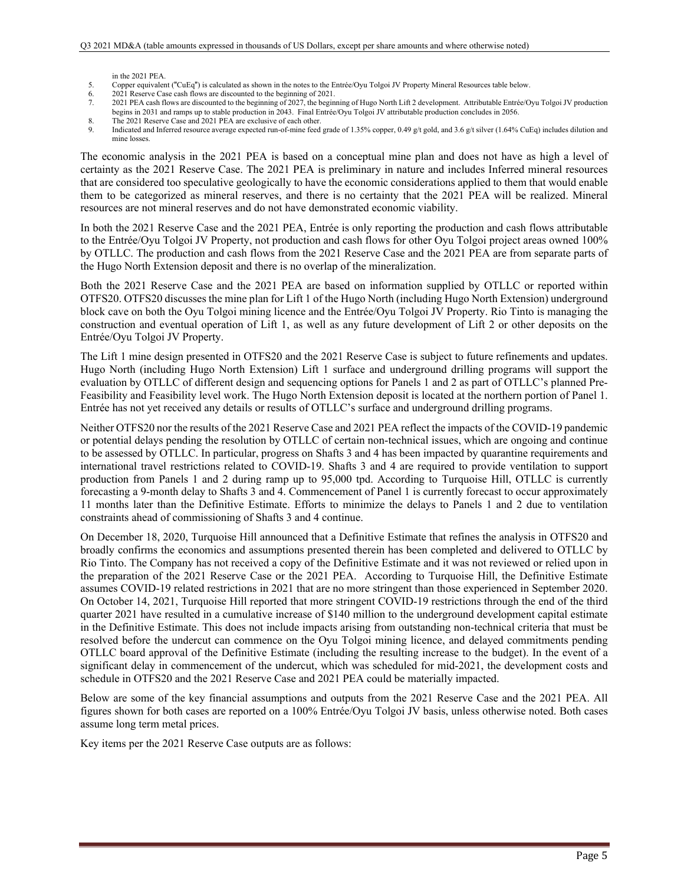in the 2021 PEA.

- 5. Copper equivalent ("CuEq") is calculated as shown in the notes to the Entrée/Oyu Tolgoi JV Property Mineral Resources table below.
- 6. 2021 Reserve Case cash flows are discounted to the beginning of  $2021$ .<br>
2021 PEA cash flows are discounted to the beginning of 2027, the begin
- 7. 2021 PEA cash flows are discounted to the beginning of 2027, the beginning of Hugo North Lift 2 development. Attributable Entrée/Oyu Tolgoi JV production begins in 2031 and ramps up to stable production in 2043. Final Entrée/Oyu Tolgoi JV attributable production concludes in 2056. The 2021 Reserve Case and 2021 PEA are exclusive of each other.
- 9. Indicated and Inferred resource average expected run-of-mine feed grade of 1.35% copper, 0.49 g/t gold, and 3.6 g/t silver (1.64% CuEq) includes dilution and mine losses.

The economic analysis in the 2021 PEA is based on a conceptual mine plan and does not have as high a level of certainty as the 2021 Reserve Case. The 2021 PEA is preliminary in nature and includes Inferred mineral resources that are considered too speculative geologically to have the economic considerations applied to them that would enable them to be categorized as mineral reserves, and there is no certainty that the 2021 PEA will be realized. Mineral resources are not mineral reserves and do not have demonstrated economic viability.

In both the 2021 Reserve Case and the 2021 PEA, Entrée is only reporting the production and cash flows attributable to the Entrée/Oyu Tolgoi JV Property, not production and cash flows for other Oyu Tolgoi project areas owned 100% by OTLLC. The production and cash flows from the 2021 Reserve Case and the 2021 PEA are from separate parts of the Hugo North Extension deposit and there is no overlap of the mineralization.

Both the 2021 Reserve Case and the 2021 PEA are based on information supplied by OTLLC or reported within OTFS20. OTFS20 discusses the mine plan for Lift 1 of the Hugo North (including Hugo North Extension) underground block cave on both the Oyu Tolgoi mining licence and the Entrée/Oyu Tolgoi JV Property. Rio Tinto is managing the construction and eventual operation of Lift 1, as well as any future development of Lift 2 or other deposits on the Entrée/Oyu Tolgoi JV Property.

The Lift 1 mine design presented in OTFS20 and the 2021 Reserve Case is subject to future refinements and updates. Hugo North (including Hugo North Extension) Lift 1 surface and underground drilling programs will support the evaluation by OTLLC of different design and sequencing options for Panels 1 and 2 as part of OTLLC's planned Pre-Feasibility and Feasibility level work. The Hugo North Extension deposit is located at the northern portion of Panel 1. Entrée has not yet received any details or results of OTLLC's surface and underground drilling programs.

Neither OTFS20 nor the results of the 2021 Reserve Case and 2021 PEA reflect the impacts of the COVID-19 pandemic or potential delays pending the resolution by OTLLC of certain non-technical issues, which are ongoing and continue to be assessed by OTLLC. In particular, progress on Shafts 3 and 4 has been impacted by quarantine requirements and international travel restrictions related to COVID-19. Shafts 3 and 4 are required to provide ventilation to support production from Panels 1 and 2 during ramp up to 95,000 tpd. According to Turquoise Hill, OTLLC is currently forecasting a 9-month delay to Shafts 3 and 4. Commencement of Panel 1 is currently forecast to occur approximately 11 months later than the Definitive Estimate. Efforts to minimize the delays to Panels 1 and 2 due to ventilation constraints ahead of commissioning of Shafts 3 and 4 continue.

On December 18, 2020, Turquoise Hill announced that a Definitive Estimate that refines the analysis in OTFS20 and broadly confirms the economics and assumptions presented therein has been completed and delivered to OTLLC by Rio Tinto. The Company has not received a copy of the Definitive Estimate and it was not reviewed or relied upon in the preparation of the 2021 Reserve Case or the 2021 PEA. According to Turquoise Hill, the Definitive Estimate assumes COVID-19 related restrictions in 2021 that are no more stringent than those experienced in September 2020. On October 14, 2021, Turquoise Hill reported that more stringent COVID-19 restrictions through the end of the third quarter 2021 have resulted in a cumulative increase of \$140 million to the underground development capital estimate in the Definitive Estimate. This does not include impacts arising from outstanding non-technical criteria that must be resolved before the undercut can commence on the Oyu Tolgoi mining licence, and delayed commitments pending OTLLC board approval of the Definitive Estimate (including the resulting increase to the budget). In the event of a significant delay in commencement of the undercut, which was scheduled for mid-2021, the development costs and schedule in OTFS20 and the 2021 Reserve Case and 2021 PEA could be materially impacted.

Below are some of the key financial assumptions and outputs from the 2021 Reserve Case and the 2021 PEA. All figures shown for both cases are reported on a 100% Entrée/Oyu Tolgoi JV basis, unless otherwise noted. Both cases assume long term metal prices.

Key items per the 2021 Reserve Case outputs are as follows: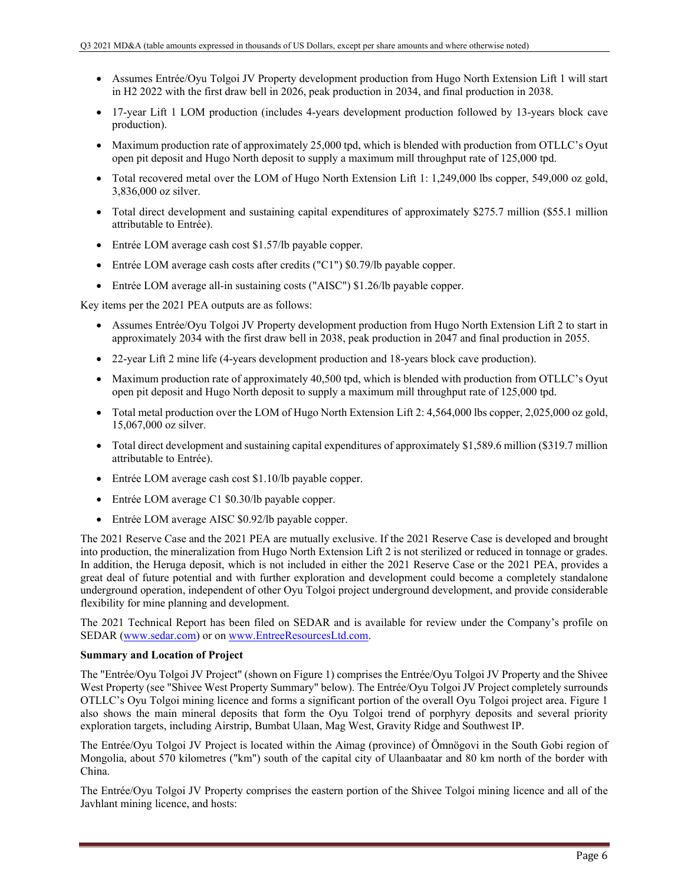- Assumes Entrée/Oyu Tolgoi JV Property development production from Hugo North Extension Lift 1 will start in H2 2022 with the first draw bell in 2026, peak production in 2034, and final production in 2038.
- 17-year Lift 1 LOM production (includes 4-years development production followed by 13-years block cave production).
- Maximum production rate of approximately 25,000 tpd, which is blended with production from OTLLC's Oyut open pit deposit and Hugo North deposit to supply a maximum mill throughput rate of 125,000 tpd.
- Total recovered metal over the LOM of Hugo North Extension Lift 1: 1,249,000 lbs copper, 549,000 oz gold, 3,836,000 oz silver.
- Total direct development and sustaining capital expenditures of approximately \$275.7 million (\$55.1 million attributable to Entrée).
- Entrée LOM average cash cost \$1.57/lb payable copper.
- Entrée LOM average cash costs after credits ("C1") \$0.79/lb payable copper.
- Entrée LOM average all-in sustaining costs ("AISC") \$1.26/lb payable copper.

Key items per the 2021 PEA outputs are as follows:

- Assumes Entrée/Oyu Tolgoi JV Property development production from Hugo North Extension Lift 2 to start in approximately 2034 with the first draw bell in 2038, peak production in 2047 and final production in 2055.
- 22-year Lift 2 mine life (4-years development production and 18-years block cave production).
- Maximum production rate of approximately 40,500 tpd, which is blended with production from OTLLC's Oyut open pit deposit and Hugo North deposit to supply a maximum mill throughput rate of 125,000 tpd.
- Total metal production over the LOM of Hugo North Extension Lift 2: 4,564,000 lbs copper, 2,025,000 oz gold, 15,067,000 oz silver.
- Total direct development and sustaining capital expenditures of approximately \$1,589.6 million (\$319.7 million attributable to Entrée).
- Entrée LOM average cash cost \$1.10/lb payable copper.
- Entrée LOM average C1 \$0.30/lb payable copper.
- Entrée LOM average AISC \$0.92/lb payable copper.

The 2021 Reserve Case and the 2021 PEA are mutually exclusive. If the 2021 Reserve Case is developed and brought into production, the mineralization from Hugo North Extension Lift 2 is not sterilized or reduced in tonnage or grades. In addition, the Heruga deposit, which is not included in either the 2021 Reserve Case or the 2021 PEA, provides a great deal of future potential and with further exploration and development could become a completely standalone underground operation, independent of other Oyu Tolgoi project underground development, and provide considerable flexibility for mine planning and development.

The 2021 Technical Report has been filed on SEDAR and is available for review under the Company's profile on SEDAR (www.sedar.com) or on www.EntreeResourcesLtd.com.

### **Summary and Location of Project**

The "Entrée/Oyu Tolgoi JV Project" (shown on Figure 1) comprises the Entrée/Oyu Tolgoi JV Property and the Shivee West Property (see "Shivee West Property Summary" below). The Entrée/Oyu Tolgoi JV Project completely surrounds OTLLC's Oyu Tolgoi mining licence and forms a significant portion of the overall Oyu Tolgoi project area. Figure 1 also shows the main mineral deposits that form the Oyu Tolgoi trend of porphyry deposits and several priority exploration targets, including Airstrip, Bumbat Ulaan, Mag West, Gravity Ridge and Southwest IP.

The Entrée/Oyu Tolgoi JV Project is located within the Aimag (province) of Ömnögovi in the South Gobi region of Mongolia, about 570 kilometres ("km") south of the capital city of Ulaanbaatar and 80 km north of the border with China.

The Entrée/Oyu Tolgoi JV Property comprises the eastern portion of the Shivee Tolgoi mining licence and all of the Javhlant mining licence, and hosts: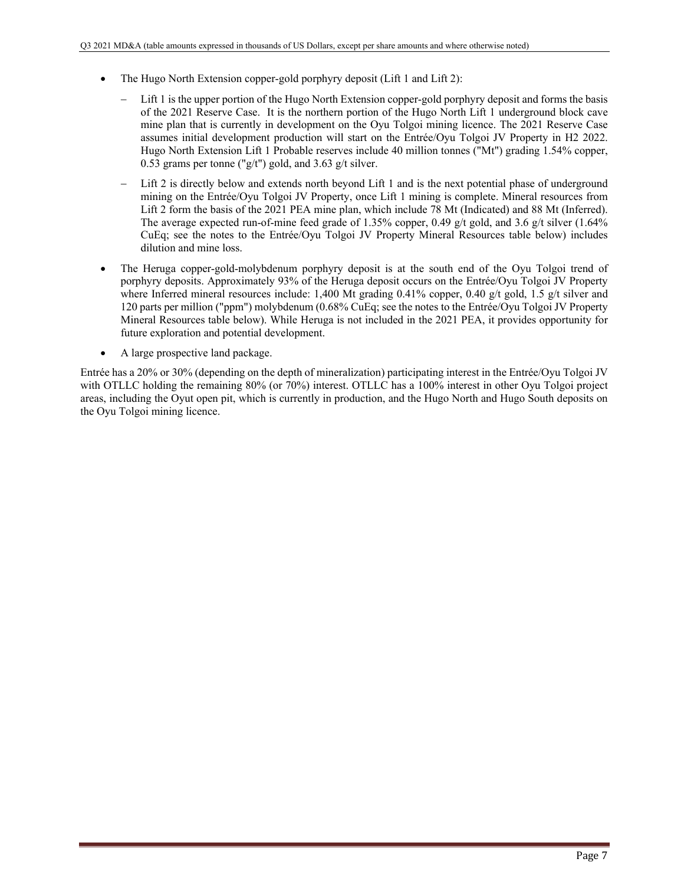- The Hugo North Extension copper-gold porphyry deposit (Lift 1 and Lift 2):
	- Lift 1 is the upper portion of the Hugo North Extension copper-gold porphyry deposit and forms the basis of the 2021 Reserve Case. It is the northern portion of the Hugo North Lift 1 underground block cave mine plan that is currently in development on the Oyu Tolgoi mining licence. The 2021 Reserve Case assumes initial development production will start on the Entrée/Oyu Tolgoi JV Property in H2 2022. Hugo North Extension Lift 1 Probable reserves include 40 million tonnes ("Mt") grading 1.54% copper, 0.53 grams per tonne ("g/t") gold, and 3.63 g/t silver.
	- Lift 2 is directly below and extends north beyond Lift 1 and is the next potential phase of underground mining on the Entrée/Oyu Tolgoi JV Property, once Lift 1 mining is complete. Mineral resources from Lift 2 form the basis of the 2021 PEA mine plan, which include 78 Mt (Indicated) and 88 Mt (Inferred). The average expected run-of-mine feed grade of 1.35% copper, 0.49 g/t gold, and 3.6 g/t silver (1.64%) CuEq; see the notes to the Entrée/Oyu Tolgoi JV Property Mineral Resources table below) includes dilution and mine loss.
- The Heruga copper-gold-molybdenum porphyry deposit is at the south end of the Oyu Tolgoi trend of porphyry deposits. Approximately 93% of the Heruga deposit occurs on the Entrée/Oyu Tolgoi JV Property where Inferred mineral resources include: 1,400 Mt grading 0.41% copper, 0.40 g/t gold, 1.5 g/t silver and 120 parts per million ("ppm") molybdenum (0.68% CuEq; see the notes to the Entrée/Oyu Tolgoi JV Property Mineral Resources table below). While Heruga is not included in the 2021 PEA, it provides opportunity for future exploration and potential development.
- A large prospective land package.

Entrée has a 20% or 30% (depending on the depth of mineralization) participating interest in the Entrée/Oyu Tolgoi JV with OTLLC holding the remaining 80% (or 70%) interest. OTLLC has a 100% interest in other Oyu Tolgoi project areas, including the Oyut open pit, which is currently in production, and the Hugo North and Hugo South deposits on the Oyu Tolgoi mining licence.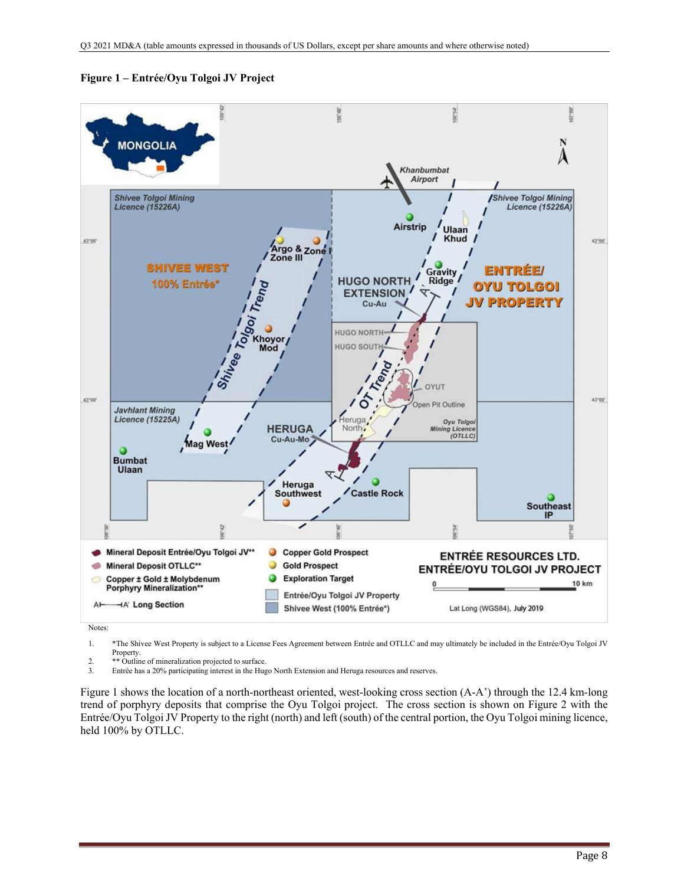

**Figure 1 – Entrée/Oyu Tolgoi JV Project** 

Notes:

1. \*The Shivee West Property is subject to a License Fees Agreement between Entrée and OTLLC and may ultimately be included in the Entrée/Oyu Tolgoi JV Property.

2. \*\* Outline of mineralization projected to surface.<br>3. Entrée has a 20% participating interest in the Hug

Entrée has a 20% participating interest in the Hugo North Extension and Heruga resources and reserves.

Figure 1 shows the location of a north-northeast oriented, west-looking cross section (A-A') through the 12.4 km-long trend of porphyry deposits that comprise the Oyu Tolgoi project. The cross section is shown on Figure 2 with the Entrée/Oyu Tolgoi JV Property to the right (north) and left (south) of the central portion, the Oyu Tolgoi mining licence, held 100% by OTLLC.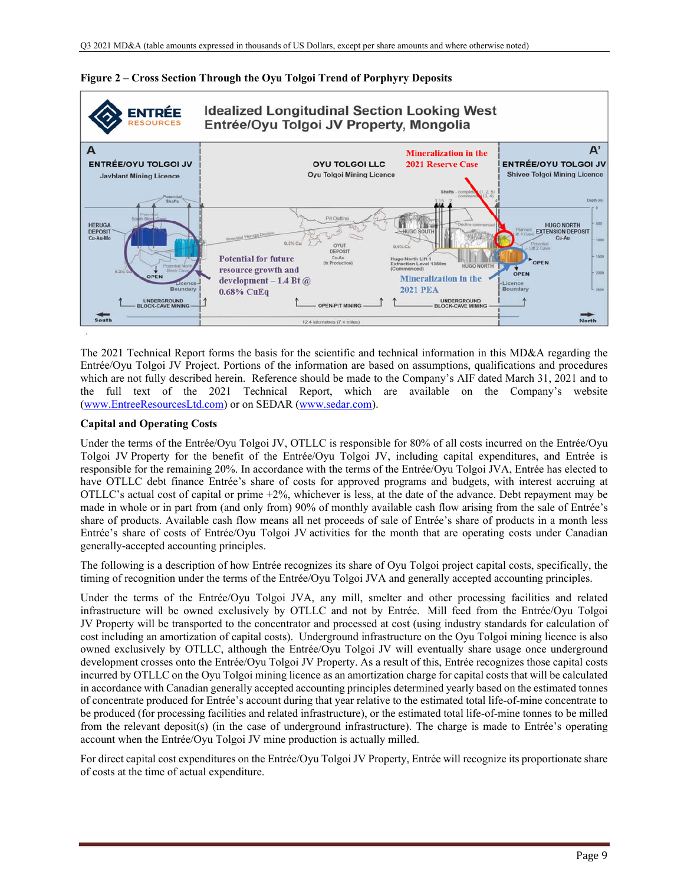

**Figure 2 – Cross Section Through the Oyu Tolgoi Trend of Porphyry Deposits** 

The 2021 Technical Report forms the basis for the scientific and technical information in this MD&A regarding the Entrée/Oyu Tolgoi JV Project. Portions of the information are based on assumptions, qualifications and procedures which are not fully described herein. Reference should be made to the Company's AIF dated March 31, 2021 and to the full text of the 2021 Technical Report, which are available on the Company's website (www.EntreeResourcesLtd.com) or on SEDAR (www.sedar.com).

## **Capital and Operating Costs**

Under the terms of the Entrée/Oyu Tolgoi JV, OTLLC is responsible for 80% of all costs incurred on the Entrée/Oyu Tolgoi JV Property for the benefit of the Entrée/Oyu Tolgoi JV, including capital expenditures, and Entrée is responsible for the remaining 20%. In accordance with the terms of the Entrée/Oyu Tolgoi JVA, Entrée has elected to have OTLLC debt finance Entrée's share of costs for approved programs and budgets, with interest accruing at OTLLC's actual cost of capital or prime +2%, whichever is less, at the date of the advance. Debt repayment may be made in whole or in part from (and only from) 90% of monthly available cash flow arising from the sale of Entrée's share of products. Available cash flow means all net proceeds of sale of Entrée's share of products in a month less Entrée's share of costs of Entrée/Oyu Tolgoi JV activities for the month that are operating costs under Canadian generally-accepted accounting principles.

The following is a description of how Entrée recognizes its share of Oyu Tolgoi project capital costs, specifically, the timing of recognition under the terms of the Entrée/Oyu Tolgoi JVA and generally accepted accounting principles.

Under the terms of the Entrée/Oyu Tolgoi JVA, any mill, smelter and other processing facilities and related infrastructure will be owned exclusively by OTLLC and not by Entrée. Mill feed from the Entrée/Oyu Tolgoi JV Property will be transported to the concentrator and processed at cost (using industry standards for calculation of cost including an amortization of capital costs). Underground infrastructure on the Oyu Tolgoi mining licence is also owned exclusively by OTLLC, although the Entrée/Oyu Tolgoi JV will eventually share usage once underground development crosses onto the Entrée/Oyu Tolgoi JV Property. As a result of this, Entrée recognizes those capital costs incurred by OTLLC on the Oyu Tolgoi mining licence as an amortization charge for capital costs that will be calculated in accordance with Canadian generally accepted accounting principles determined yearly based on the estimated tonnes of concentrate produced for Entrée's account during that year relative to the estimated total life-of-mine concentrate to be produced (for processing facilities and related infrastructure), or the estimated total life-of-mine tonnes to be milled from the relevant deposit(s) (in the case of underground infrastructure). The charge is made to Entrée's operating account when the Entrée/Oyu Tolgoi JV mine production is actually milled.

For direct capital cost expenditures on the Entrée/Oyu Tolgoi JV Property, Entrée will recognize its proportionate share of costs at the time of actual expenditure.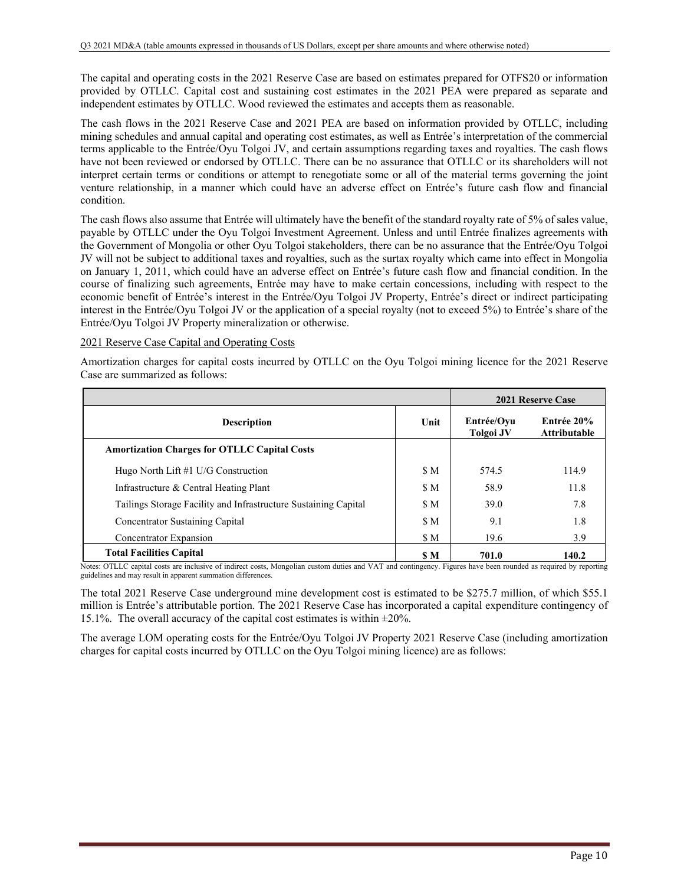The capital and operating costs in the 2021 Reserve Case are based on estimates prepared for OTFS20 or information provided by OTLLC. Capital cost and sustaining cost estimates in the 2021 PEA were prepared as separate and independent estimates by OTLLC. Wood reviewed the estimates and accepts them as reasonable.

The cash flows in the 2021 Reserve Case and 2021 PEA are based on information provided by OTLLC, including mining schedules and annual capital and operating cost estimates, as well as Entrée's interpretation of the commercial terms applicable to the Entrée/Oyu Tolgoi JV, and certain assumptions regarding taxes and royalties. The cash flows have not been reviewed or endorsed by OTLLC. There can be no assurance that OTLLC or its shareholders will not interpret certain terms or conditions or attempt to renegotiate some or all of the material terms governing the joint venture relationship, in a manner which could have an adverse effect on Entrée's future cash flow and financial condition.

The cash flows also assume that Entrée will ultimately have the benefit of the standard royalty rate of 5% of sales value, payable by OTLLC under the Oyu Tolgoi Investment Agreement. Unless and until Entrée finalizes agreements with the Government of Mongolia or other Oyu Tolgoi stakeholders, there can be no assurance that the Entrée/Oyu Tolgoi JV will not be subject to additional taxes and royalties, such as the surtax royalty which came into effect in Mongolia on January 1, 2011, which could have an adverse effect on Entrée's future cash flow and financial condition. In the course of finalizing such agreements, Entrée may have to make certain concessions, including with respect to the economic benefit of Entrée's interest in the Entrée/Oyu Tolgoi JV Property, Entrée's direct or indirect participating interest in the Entrée/Oyu Tolgoi JV or the application of a special royalty (not to exceed 5%) to Entrée's share of the Entrée/Oyu Tolgoi JV Property mineralization or otherwise.

## 2021 Reserve Case Capital and Operating Costs

Amortization charges for capital costs incurred by OTLLC on the Oyu Tolgoi mining licence for the 2021 Reserve Case are summarized as follows:

|                                                                 |                                | 2021 Reserve Case          |       |  |  |
|-----------------------------------------------------------------|--------------------------------|----------------------------|-------|--|--|
| <b>Description</b>                                              | Entrée/Ovu<br><b>Tolgoi JV</b> | Entrée 20%<br>Attributable |       |  |  |
| <b>Amortization Charges for OTLLC Capital Costs</b>             |                                |                            |       |  |  |
| Hugo North Lift #1 U/G Construction                             | \$Μ                            | 574.5                      | 114.9 |  |  |
| Infrastructure & Central Heating Plant                          | \$Μ                            | 58.9                       | 11.8  |  |  |
| Tailings Storage Facility and Infrastructure Sustaining Capital | \$Μ                            | 39.0                       | 7.8   |  |  |
| <b>Concentrator Sustaining Capital</b>                          | \$M                            | 9.1                        | 1.8   |  |  |
| Concentrator Expansion                                          | \$Μ                            | 19.6                       | 3.9   |  |  |
| <b>Total Facilities Capital</b>                                 | SM <sub>3</sub>                | 701.0                      | 140.2 |  |  |

Notes: OTLLC capital costs are inclusive of indirect costs, Mongolian custom duties and VAT and contingency. Figures have been rounded as required by reporting guidelines and may result in apparent summation differences.

The total 2021 Reserve Case underground mine development cost is estimated to be \$275.7 million, of which \$55.1 million is Entrée's attributable portion. The 2021 Reserve Case has incorporated a capital expenditure contingency of 15.1%. The overall accuracy of the capital cost estimates is within  $\pm 20\%$ .

The average LOM operating costs for the Entrée/Oyu Tolgoi JV Property 2021 Reserve Case (including amortization charges for capital costs incurred by OTLLC on the Oyu Tolgoi mining licence) are as follows: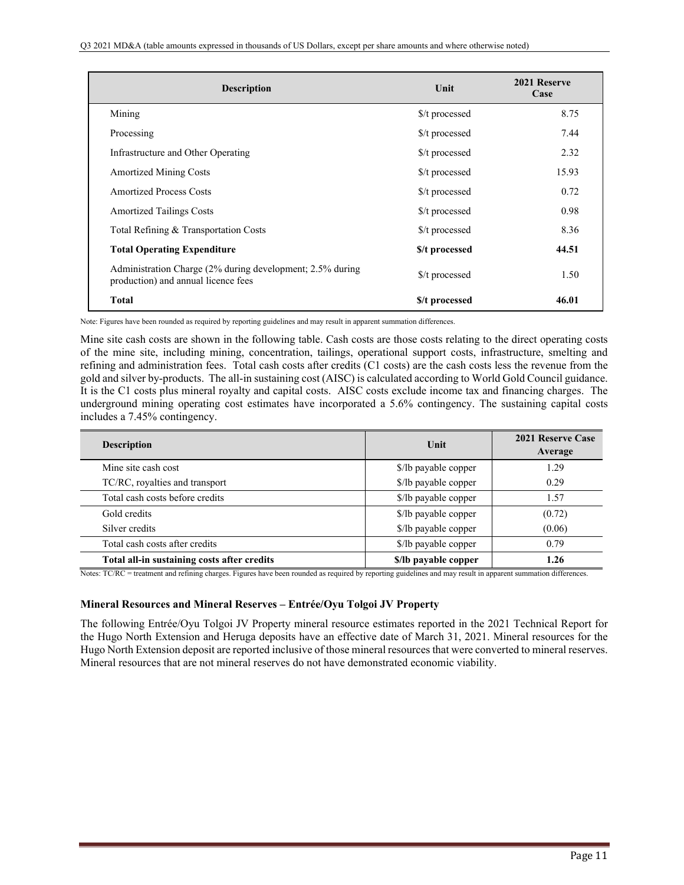| <b>Description</b>                                                                               | Unit           | 2021 Reserve<br>Case |
|--------------------------------------------------------------------------------------------------|----------------|----------------------|
| Mining                                                                                           | \$/t processed | 8.75                 |
| Processing                                                                                       | \$/t processed | 7.44                 |
| Infrastructure and Other Operating                                                               | \$/t processed | 2.32                 |
| <b>Amortized Mining Costs</b>                                                                    | \$/t processed | 15.93                |
| <b>Amortized Process Costs</b>                                                                   | \$/t processed | 0.72                 |
| <b>Amortized Tailings Costs</b>                                                                  | \$/t processed | 0.98                 |
| Total Refining & Transportation Costs                                                            | \$/t processed | 8.36                 |
| <b>Total Operating Expenditure</b>                                                               | \$/t processed | 44.51                |
| Administration Charge (2% during development; 2.5% during<br>production) and annual licence fees | \$/t processed | 1.50                 |
| Total                                                                                            | \$/t processed | 46.01                |

Note: Figures have been rounded as required by reporting guidelines and may result in apparent summation differences.

Mine site cash costs are shown in the following table. Cash costs are those costs relating to the direct operating costs of the mine site, including mining, concentration, tailings, operational support costs, infrastructure, smelting and refining and administration fees. Total cash costs after credits (C1 costs) are the cash costs less the revenue from the gold and silver by-products. The all-in sustaining cost (AISC) is calculated according to World Gold Council guidance. It is the C1 costs plus mineral royalty and capital costs. AISC costs exclude income tax and financing charges. The underground mining operating cost estimates have incorporated a 5.6% contingency. The sustaining capital costs includes a 7.45% contingency.

| <b>Description</b>                          | Unit                 | 2021 Reserve Case<br>Average |  |  |
|---------------------------------------------|----------------------|------------------------------|--|--|
| Mine site cash cost                         | \$/lb payable copper | 1.29                         |  |  |
| TC/RC, royalties and transport              | \$/lb payable copper | 0.29                         |  |  |
| Total cash costs before credits             | \$/lb payable copper | 1.57                         |  |  |
| Gold credits                                | \$/lb payable copper | (0.72)                       |  |  |
| Silver credits                              | \$/lb payable copper | (0.06)                       |  |  |
| Total cash costs after credits              | \$/lb payable copper | 0.79                         |  |  |
| Total all-in sustaining costs after credits | \$/lb payable copper | 1.26                         |  |  |

Notes: TC/RC = treatment and refining charges. Figures have been rounded as required by reporting guidelines and may result in apparent summation differences.

## **Mineral Resources and Mineral Reserves – Entrée/Oyu Tolgoi JV Property**

The following Entrée/Oyu Tolgoi JV Property mineral resource estimates reported in the 2021 Technical Report for the Hugo North Extension and Heruga deposits have an effective date of March 31, 2021. Mineral resources for the Hugo North Extension deposit are reported inclusive of those mineral resources that were converted to mineral reserves. Mineral resources that are not mineral reserves do not have demonstrated economic viability.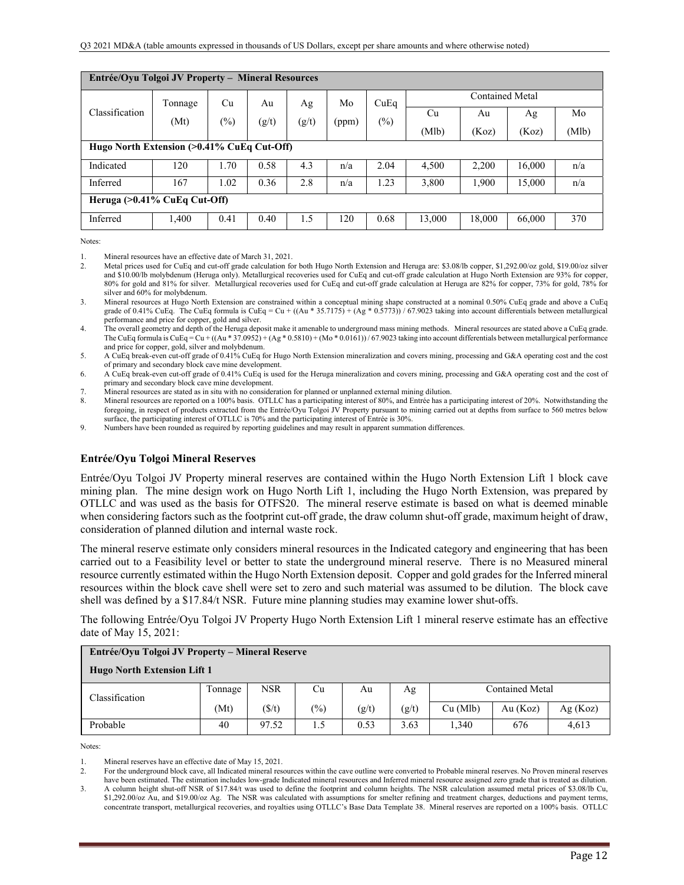| Entrée/Oyu Tolgoi JV Property – Mineral Resources |                                         |        |                        |       |       |        |        |        |        |       |
|---------------------------------------------------|-----------------------------------------|--------|------------------------|-------|-------|--------|--------|--------|--------|-------|
|                                                   | CuEq<br>Cu<br>Mo<br>Tonnage<br>Au<br>Ag |        | <b>Contained Metal</b> |       |       |        |        |        |        |       |
| Classification                                    | (Mt)                                    | $(\%)$ | (g/t)                  | (g/t) | (ppm) | $(\%)$ | Cu     | Au     | Ag     | Mo    |
|                                                   |                                         |        |                        |       |       |        | (Mlb)  | (Koz)  | (Koz)  | (Mlb) |
| Hugo North Extension (>0.41% CuEq Cut-Off)        |                                         |        |                        |       |       |        |        |        |        |       |
| Indicated                                         | 120                                     | 1.70   | 0.58                   | 4.3   | n/a   | 2.04   | 4.500  | 2,200  | 16,000 | n/a   |
| Inferred                                          | 167                                     | 1.02   | 0.36                   | 2.8   | n/a   | 1.23   | 3,800  | 1,900  | 15,000 | n/a   |
| Heruga $(>0.41\%$ CuEq Cut-Off)                   |                                         |        |                        |       |       |        |        |        |        |       |
| Inferred                                          | 1.400                                   | 0.41   | 0.40                   | 1.5   | 120   | 0.68   | 13,000 | 18,000 | 66,000 | 370   |

Notes:

1. Mineral resources have an effective date of March 31, 2021.

Metal prices used for CuEq and cut-off grade calculation for both Hugo North Extension and Heruga are: \$3.08/lb copper, \$1,292.00/oz gold, \$19.00/oz silver and \$10.00/lb molybdenum (Heruga only). Metallurgical recoveries used for CuEq and cut-off grade calculation at Hugo North Extension are 93% for copper, 80% for gold and 81% for silver. Metallurgical recoveries used for CuEq and cut-off grade calculation at Heruga are 82% for copper, 73% for gold, 78% for silver and 60% for molybdenum.

3. Mineral resources at Hugo North Extension are constrained within a conceptual mining shape constructed at a nominal 0.50% CuEq grade and above a CuEq grade of 0.41% CuEq. The CuEq formula is CuEq = Cu + ((Au \* 35.7175) + (Ag \* 0.5773)) / 67.9023 taking into account differentials between metallurgical performance and price for copper, gold and silver.

4. The overall geometry and depth of the Heruga deposit make it amenable to underground mass mining methods. Mineral resources are stated above a CuEq grade. The CuEq formula is CuEq = Cu + ((Au \* 37.0952) + (Ag \* 0.5810) + (Mo \* 0.0161)) / 67.9023 taking into account differentials between metallurgical performance and price for copper, gold, silver and molybdenum.

5. A CuEq break-even cut-off grade of 0.41% CuEq for Hugo North Extension mineralization and covers mining, processing and G&A operating cost and the cost of primary and secondary block cave mine development.

6. A CuEq break-even cut-off grade of 0.41% CuEq is used for the Heruga mineralization and covers mining, processing and G&A operating cost and the cost of primary and secondary block cave mine development.

7. Mineral resources are stated as in situ with no consideration for planned or unplanned external mining dilution.

8. Mineral resources are reported on a 100% basis. OTLLC has a participating interest of 80%, and Entrée has a participating interest of 20%. Notwithstanding the foregoing, in respect of products extracted from the Entrée/Oyu Tolgoi JV Property pursuant to mining carried out at depths from surface to 560 metres below surface, the participating interest of OTLLC is 70% and the participating interest of Entrée is 30%.

9. Numbers have been rounded as required by reporting guidelines and may result in apparent summation differences.

### **Entrée/Oyu Tolgoi Mineral Reserves**

Entrée/Oyu Tolgoi JV Property mineral reserves are contained within the Hugo North Extension Lift 1 block cave mining plan. The mine design work on Hugo North Lift 1, including the Hugo North Extension, was prepared by OTLLC and was used as the basis for OTFS20. The mineral reserve estimate is based on what is deemed minable when considering factors such as the footprint cut-off grade, the draw column shut-off grade, maximum height of draw, consideration of planned dilution and internal waste rock.

The mineral reserve estimate only considers mineral resources in the Indicated category and engineering that has been carried out to a Feasibility level or better to state the underground mineral reserve. There is no Measured mineral resource currently estimated within the Hugo North Extension deposit. Copper and gold grades for the Inferred mineral resources within the block cave shell were set to zero and such material was assumed to be dilution. The block cave shell was defined by a \$17.84/t NSR. Future mine planning studies may examine lower shut-offs.

The following Entrée/Oyu Tolgoi JV Property Hugo North Extension Lift 1 mineral reserve estimate has an effective date of May 15, 2021:

| $E_{\rm HII}$ C( $\sim$ yu Tugul J v Troperty $-$ Militial Kesel VC |         |            |               |       |       |                        |            |         |  |
|---------------------------------------------------------------------|---------|------------|---------------|-------|-------|------------------------|------------|---------|--|
| <b>Hugo North Extension Lift 1</b>                                  |         |            |               |       |       |                        |            |         |  |
| Classification                                                      | Tonnage | <b>NSR</b> | Cu            | Au    | Ag    | <b>Contained Metal</b> |            |         |  |
|                                                                     | (Mt)    | (S/t)      | $\frac{1}{2}$ | (g/t) | (g/t) | Cu (Mlb)               | Au $(Koz)$ | Ag(Koz) |  |
| Probable                                                            | 40      | 97.52      | 1.5           | 0.53  | 3.63  | 1,340                  | 676        | 4.613   |  |

Notes:

1. Mineral reserves have an effective date of May 15, 2021.

**Entrée/Oyu Tolgoi JV Property – Mineral Reserve** 

2. For the underground block cave, all Indicated mineral resources within the cave outline were converted to Probable mineral reserves. No Proven mineral reserves have been estimated. The estimation includes low-grade Indicated mineral resources and Inferred mineral resource assigned zero grade that is treated as dilution.

3. A column height shut-off NSR of \$17.84/t was used to define the footprint and column heights. The NSR calculation assumed metal prices of \$3.08/lb Cu, \$1,292.00/oz Au, and \$19.00/oz Ag. The NSR was calculated with assumptions for smelter refining and treatment charges, deductions and payment terms, concentrate transport, metallurgical recoveries, and royalties using OTLLC's Base Data Template 38. Mineral reserves are reported on a 100% basis. OTLLC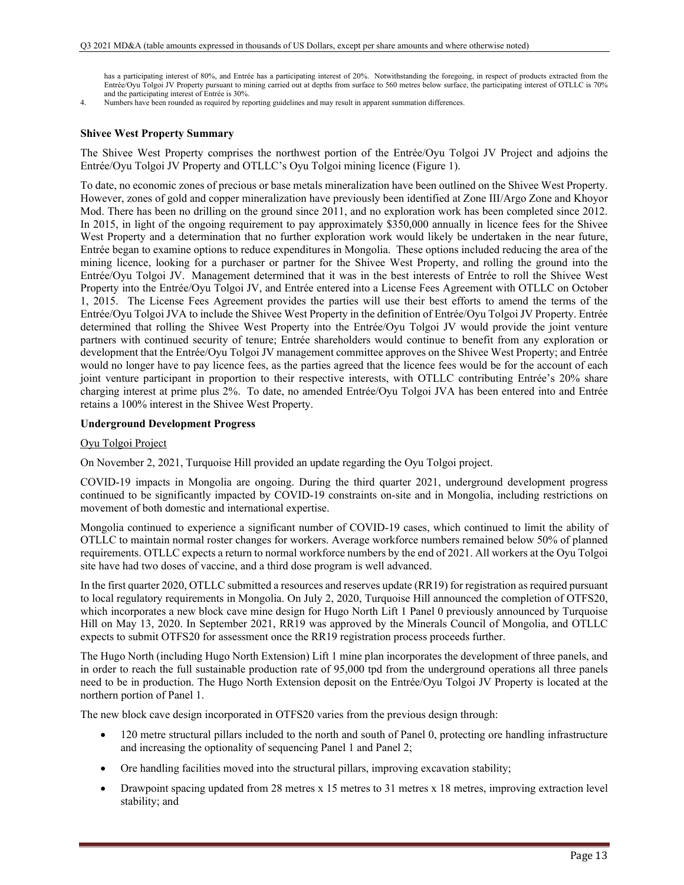has a participating interest of 80%, and Entrée has a participating interest of 20%. Notwithstanding the foregoing, in respect of products extracted from the Entrée/Oyu Tolgoi JV Property pursuant to mining carried out at depths from surface to 560 metres below surface, the participating interest of OTLLC is 70% and the participating interest of Entrée is 30%.

4. Numbers have been rounded as required by reporting guidelines and may result in apparent summation differences.

#### **Shivee West Property Summary**

The Shivee West Property comprises the northwest portion of the Entrée/Oyu Tolgoi JV Project and adjoins the Entrée/Oyu Tolgoi JV Property and OTLLC's Oyu Tolgoi mining licence (Figure 1).

To date, no economic zones of precious or base metals mineralization have been outlined on the Shivee West Property. However, zones of gold and copper mineralization have previously been identified at Zone III/Argo Zone and Khoyor Mod. There has been no drilling on the ground since 2011, and no exploration work has been completed since 2012. In 2015, in light of the ongoing requirement to pay approximately \$350,000 annually in licence fees for the Shivee West Property and a determination that no further exploration work would likely be undertaken in the near future, Entrée began to examine options to reduce expenditures in Mongolia. These options included reducing the area of the mining licence, looking for a purchaser or partner for the Shivee West Property, and rolling the ground into the Entrée/Oyu Tolgoi JV. Management determined that it was in the best interests of Entrée to roll the Shivee West Property into the Entrée/Oyu Tolgoi JV, and Entrée entered into a License Fees Agreement with OTLLC on October 1, 2015. The License Fees Agreement provides the parties will use their best efforts to amend the terms of the Entrée/Oyu Tolgoi JVA to include the Shivee West Property in the definition of Entrée/Oyu Tolgoi JV Property. Entrée determined that rolling the Shivee West Property into the Entrée/Oyu Tolgoi JV would provide the joint venture partners with continued security of tenure; Entrée shareholders would continue to benefit from any exploration or development that the Entrée/Oyu Tolgoi JV management committee approves on the Shivee West Property; and Entrée would no longer have to pay licence fees, as the parties agreed that the licence fees would be for the account of each joint venture participant in proportion to their respective interests, with OTLLC contributing Entrée's 20% share charging interest at prime plus 2%. To date, no amended Entrée/Oyu Tolgoi JVA has been entered into and Entrée retains a 100% interest in the Shivee West Property.

#### **Underground Development Progress**

#### Oyu Tolgoi Project

On November 2, 2021, Turquoise Hill provided an update regarding the Oyu Tolgoi project.

COVID-19 impacts in Mongolia are ongoing. During the third quarter 2021, underground development progress continued to be significantly impacted by COVID-19 constraints on-site and in Mongolia, including restrictions on movement of both domestic and international expertise.

Mongolia continued to experience a significant number of COVID-19 cases, which continued to limit the ability of OTLLC to maintain normal roster changes for workers. Average workforce numbers remained below 50% of planned requirements. OTLLC expects a return to normal workforce numbers by the end of 2021. All workers at the Oyu Tolgoi site have had two doses of vaccine, and a third dose program is well advanced.

In the first quarter 2020, OTLLC submitted a resources and reserves update (RR19) for registration as required pursuant to local regulatory requirements in Mongolia. On July 2, 2020, Turquoise Hill announced the completion of OTFS20, which incorporates a new block cave mine design for Hugo North Lift 1 Panel 0 previously announced by Turquoise Hill on May 13, 2020. In September 2021, RR19 was approved by the Minerals Council of Mongolia, and OTLLC expects to submit OTFS20 for assessment once the RR19 registration process proceeds further.

The Hugo North (including Hugo North Extension) Lift 1 mine plan incorporates the development of three panels, and in order to reach the full sustainable production rate of 95,000 tpd from the underground operations all three panels need to be in production. The Hugo North Extension deposit on the Entrée/Oyu Tolgoi JV Property is located at the northern portion of Panel 1.

The new block cave design incorporated in OTFS20 varies from the previous design through:

- 120 metre structural pillars included to the north and south of Panel 0, protecting ore handling infrastructure and increasing the optionality of sequencing Panel 1 and Panel 2;
- Ore handling facilities moved into the structural pillars, improving excavation stability;
- Drawpoint spacing updated from 28 metres x 15 metres to 31 metres x 18 metres, improving extraction level stability; and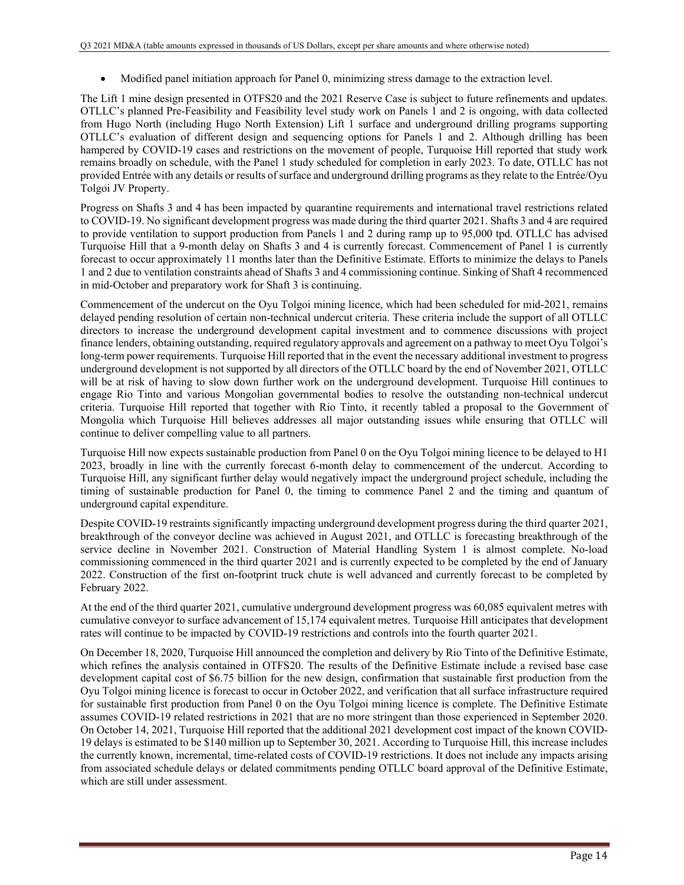Modified panel initiation approach for Panel 0, minimizing stress damage to the extraction level.

The Lift 1 mine design presented in OTFS20 and the 2021 Reserve Case is subject to future refinements and updates. OTLLC's planned Pre-Feasibility and Feasibility level study work on Panels 1 and 2 is ongoing, with data collected from Hugo North (including Hugo North Extension) Lift 1 surface and underground drilling programs supporting OTLLC's evaluation of different design and sequencing options for Panels 1 and 2. Although drilling has been hampered by COVID-19 cases and restrictions on the movement of people, Turquoise Hill reported that study work remains broadly on schedule, with the Panel 1 study scheduled for completion in early 2023. To date, OTLLC has not provided Entrée with any details or results of surface and underground drilling programs as they relate to the Entrée/Oyu Tolgoi JV Property.

Progress on Shafts 3 and 4 has been impacted by quarantine requirements and international travel restrictions related to COVID-19. No significant development progress was made during the third quarter 2021. Shafts 3 and 4 are required to provide ventilation to support production from Panels 1 and 2 during ramp up to 95,000 tpd. OTLLC has advised Turquoise Hill that a 9-month delay on Shafts 3 and 4 is currently forecast. Commencement of Panel 1 is currently forecast to occur approximately 11 months later than the Definitive Estimate. Efforts to minimize the delays to Panels 1 and 2 due to ventilation constraints ahead of Shafts 3 and 4 commissioning continue. Sinking of Shaft 4 recommenced in mid-October and preparatory work for Shaft 3 is continuing.

Commencement of the undercut on the Oyu Tolgoi mining licence, which had been scheduled for mid-2021, remains delayed pending resolution of certain non-technical undercut criteria. These criteria include the support of all OTLLC directors to increase the underground development capital investment and to commence discussions with project finance lenders, obtaining outstanding, required regulatory approvals and agreement on a pathway to meet Oyu Tolgoi's long-term power requirements. Turquoise Hill reported that in the event the necessary additional investment to progress underground development is not supported by all directors of the OTLLC board by the end of November 2021, OTLLC will be at risk of having to slow down further work on the underground development. Turquoise Hill continues to engage Rio Tinto and various Mongolian governmental bodies to resolve the outstanding non-technical undercut criteria. Turquoise Hill reported that together with Rio Tinto, it recently tabled a proposal to the Government of Mongolia which Turquoise Hill believes addresses all major outstanding issues while ensuring that OTLLC will continue to deliver compelling value to all partners.

Turquoise Hill now expects sustainable production from Panel 0 on the Oyu Tolgoi mining licence to be delayed to H1 2023, broadly in line with the currently forecast 6-month delay to commencement of the undercut. According to Turquoise Hill, any significant further delay would negatively impact the underground project schedule, including the timing of sustainable production for Panel 0, the timing to commence Panel 2 and the timing and quantum of underground capital expenditure.

Despite COVID-19 restraints significantly impacting underground development progress during the third quarter 2021, breakthrough of the conveyor decline was achieved in August 2021, and OTLLC is forecasting breakthrough of the service decline in November 2021. Construction of Material Handling System 1 is almost complete. No-load commissioning commenced in the third quarter 2021 and is currently expected to be completed by the end of January 2022. Construction of the first on-footprint truck chute is well advanced and currently forecast to be completed by February 2022.

At the end of the third quarter 2021, cumulative underground development progress was 60,085 equivalent metres with cumulative conveyor to surface advancement of 15,174 equivalent metres. Turquoise Hill anticipates that development rates will continue to be impacted by COVID-19 restrictions and controls into the fourth quarter 2021.

On December 18, 2020, Turquoise Hill announced the completion and delivery by Rio Tinto of the Definitive Estimate, which refines the analysis contained in OTFS20. The results of the Definitive Estimate include a revised base case development capital cost of \$6.75 billion for the new design, confirmation that sustainable first production from the Oyu Tolgoi mining licence is forecast to occur in October 2022, and verification that all surface infrastructure required for sustainable first production from Panel 0 on the Oyu Tolgoi mining licence is complete. The Definitive Estimate assumes COVID-19 related restrictions in 2021 that are no more stringent than those experienced in September 2020. On October 14, 2021, Turquoise Hill reported that the additional 2021 development cost impact of the known COVID-19 delays is estimated to be \$140 million up to September 30, 2021. According to Turquoise Hill, this increase includes the currently known, incremental, time-related costs of COVID-19 restrictions. It does not include any impacts arising from associated schedule delays or delated commitments pending OTLLC board approval of the Definitive Estimate, which are still under assessment.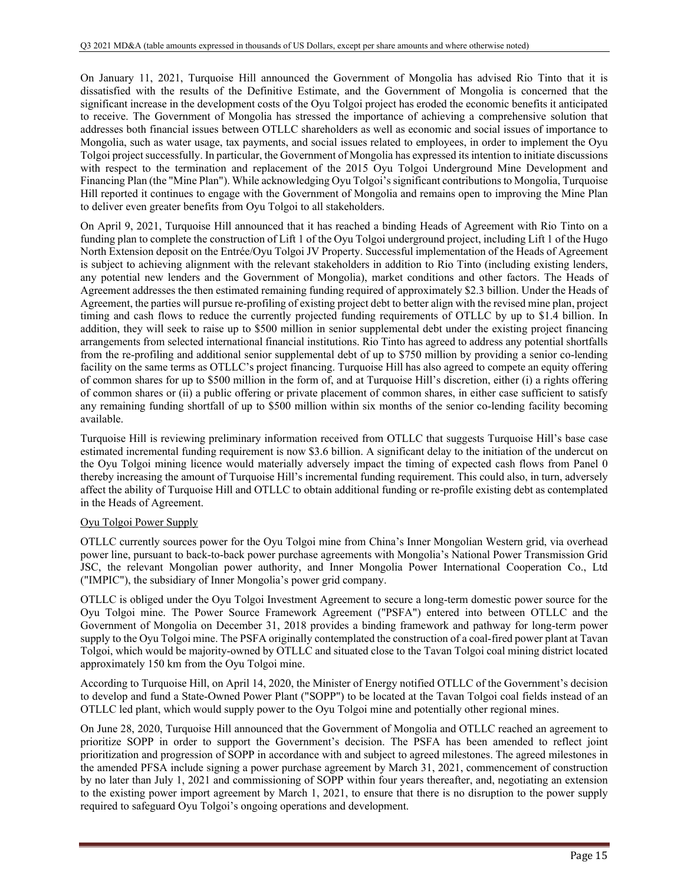On January 11, 2021, Turquoise Hill announced the Government of Mongolia has advised Rio Tinto that it is dissatisfied with the results of the Definitive Estimate, and the Government of Mongolia is concerned that the significant increase in the development costs of the Oyu Tolgoi project has eroded the economic benefits it anticipated to receive. The Government of Mongolia has stressed the importance of achieving a comprehensive solution that addresses both financial issues between OTLLC shareholders as well as economic and social issues of importance to Mongolia, such as water usage, tax payments, and social issues related to employees, in order to implement the Oyu Tolgoi project successfully. In particular, the Government of Mongolia has expressed its intention to initiate discussions with respect to the termination and replacement of the 2015 Oyu Tolgoi Underground Mine Development and Financing Plan (the "Mine Plan"). While acknowledging Oyu Tolgoi's significant contributions to Mongolia, Turquoise Hill reported it continues to engage with the Government of Mongolia and remains open to improving the Mine Plan to deliver even greater benefits from Oyu Tolgoi to all stakeholders.

On April 9, 2021, Turquoise Hill announced that it has reached a binding Heads of Agreement with Rio Tinto on a funding plan to complete the construction of Lift 1 of the Oyu Tolgoi underground project, including Lift 1 of the Hugo North Extension deposit on the Entrée/Oyu Tolgoi JV Property. Successful implementation of the Heads of Agreement is subject to achieving alignment with the relevant stakeholders in addition to Rio Tinto (including existing lenders, any potential new lenders and the Government of Mongolia), market conditions and other factors. The Heads of Agreement addresses the then estimated remaining funding required of approximately \$2.3 billion. Under the Heads of Agreement, the parties will pursue re-profiling of existing project debt to better align with the revised mine plan, project timing and cash flows to reduce the currently projected funding requirements of OTLLC by up to \$1.4 billion. In addition, they will seek to raise up to \$500 million in senior supplemental debt under the existing project financing arrangements from selected international financial institutions. Rio Tinto has agreed to address any potential shortfalls from the re-profiling and additional senior supplemental debt of up to \$750 million by providing a senior co-lending facility on the same terms as OTLLC's project financing. Turquoise Hill has also agreed to compete an equity offering of common shares for up to \$500 million in the form of, and at Turquoise Hill's discretion, either (i) a rights offering of common shares or (ii) a public offering or private placement of common shares, in either case sufficient to satisfy any remaining funding shortfall of up to \$500 million within six months of the senior co-lending facility becoming available.

Turquoise Hill is reviewing preliminary information received from OTLLC that suggests Turquoise Hill's base case estimated incremental funding requirement is now \$3.6 billion. A significant delay to the initiation of the undercut on the Oyu Tolgoi mining licence would materially adversely impact the timing of expected cash flows from Panel 0 thereby increasing the amount of Turquoise Hill's incremental funding requirement. This could also, in turn, adversely affect the ability of Turquoise Hill and OTLLC to obtain additional funding or re-profile existing debt as contemplated in the Heads of Agreement.

## Oyu Tolgoi Power Supply

OTLLC currently sources power for the Oyu Tolgoi mine from China's Inner Mongolian Western grid, via overhead power line, pursuant to back-to-back power purchase agreements with Mongolia's National Power Transmission Grid JSC, the relevant Mongolian power authority, and Inner Mongolia Power International Cooperation Co., Ltd ("IMPIC"), the subsidiary of Inner Mongolia's power grid company.

OTLLC is obliged under the Oyu Tolgoi Investment Agreement to secure a long-term domestic power source for the Oyu Tolgoi mine. The Power Source Framework Agreement ("PSFA") entered into between OTLLC and the Government of Mongolia on December 31, 2018 provides a binding framework and pathway for long-term power supply to the Oyu Tolgoi mine. The PSFA originally contemplated the construction of a coal-fired power plant at Tavan Tolgoi, which would be majority-owned by OTLLC and situated close to the Tavan Tolgoi coal mining district located approximately 150 km from the Oyu Tolgoi mine.

According to Turquoise Hill, on April 14, 2020, the Minister of Energy notified OTLLC of the Government's decision to develop and fund a State-Owned Power Plant ("SOPP") to be located at the Tavan Tolgoi coal fields instead of an OTLLC led plant, which would supply power to the Oyu Tolgoi mine and potentially other regional mines.

On June 28, 2020, Turquoise Hill announced that the Government of Mongolia and OTLLC reached an agreement to prioritize SOPP in order to support the Government's decision. The PSFA has been amended to reflect joint prioritization and progression of SOPP in accordance with and subject to agreed milestones. The agreed milestones in the amended PFSA include signing a power purchase agreement by March 31, 2021, commencement of construction by no later than July 1, 2021 and commissioning of SOPP within four years thereafter, and, negotiating an extension to the existing power import agreement by March 1, 2021, to ensure that there is no disruption to the power supply required to safeguard Oyu Tolgoi's ongoing operations and development.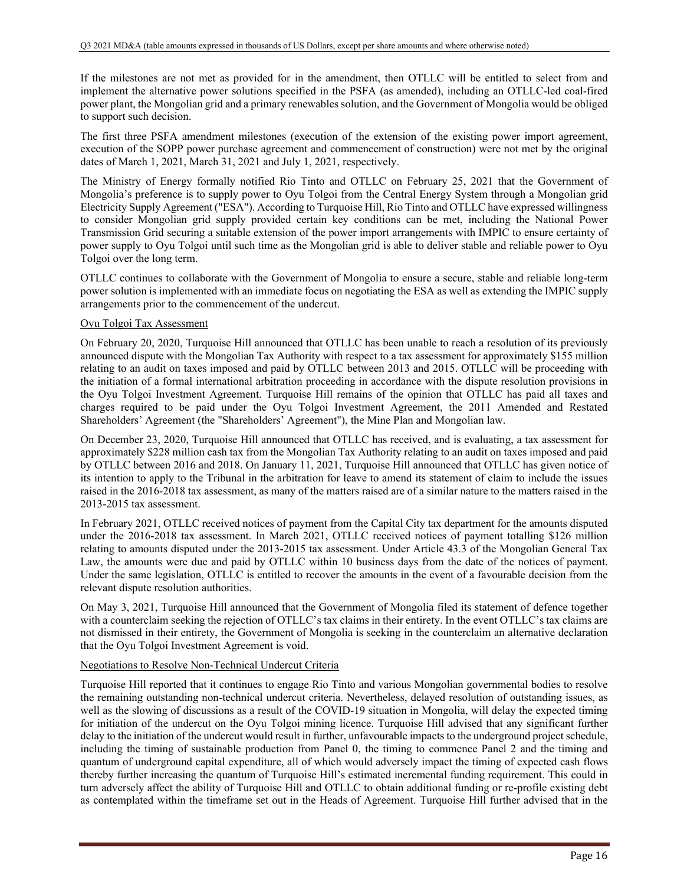If the milestones are not met as provided for in the amendment, then OTLLC will be entitled to select from and implement the alternative power solutions specified in the PSFA (as amended), including an OTLLC-led coal-fired power plant, the Mongolian grid and a primary renewables solution, and the Government of Mongolia would be obliged to support such decision.

The first three PSFA amendment milestones (execution of the extension of the existing power import agreement, execution of the SOPP power purchase agreement and commencement of construction) were not met by the original dates of March 1, 2021, March 31, 2021 and July 1, 2021, respectively.

The Ministry of Energy formally notified Rio Tinto and OTLLC on February 25, 2021 that the Government of Mongolia's preference is to supply power to Oyu Tolgoi from the Central Energy System through a Mongolian grid Electricity Supply Agreement ("ESA"). According to Turquoise Hill, Rio Tinto and OTLLC have expressed willingness to consider Mongolian grid supply provided certain key conditions can be met, including the National Power Transmission Grid securing a suitable extension of the power import arrangements with IMPIC to ensure certainty of power supply to Oyu Tolgoi until such time as the Mongolian grid is able to deliver stable and reliable power to Oyu Tolgoi over the long term.

OTLLC continues to collaborate with the Government of Mongolia to ensure a secure, stable and reliable long-term power solution is implemented with an immediate focus on negotiating the ESA as well as extending the IMPIC supply arrangements prior to the commencement of the undercut.

## Oyu Tolgoi Tax Assessment

On February 20, 2020, Turquoise Hill announced that OTLLC has been unable to reach a resolution of its previously announced dispute with the Mongolian Tax Authority with respect to a tax assessment for approximately \$155 million relating to an audit on taxes imposed and paid by OTLLC between 2013 and 2015. OTLLC will be proceeding with the initiation of a formal international arbitration proceeding in accordance with the dispute resolution provisions in the Oyu Tolgoi Investment Agreement. Turquoise Hill remains of the opinion that OTLLC has paid all taxes and charges required to be paid under the Oyu Tolgoi Investment Agreement, the 2011 Amended and Restated Shareholders' Agreement (the "Shareholders' Agreement"), the Mine Plan and Mongolian law.

On December 23, 2020, Turquoise Hill announced that OTLLC has received, and is evaluating, a tax assessment for approximately \$228 million cash tax from the Mongolian Tax Authority relating to an audit on taxes imposed and paid by OTLLC between 2016 and 2018. On January 11, 2021, Turquoise Hill announced that OTLLC has given notice of its intention to apply to the Tribunal in the arbitration for leave to amend its statement of claim to include the issues raised in the 2016-2018 tax assessment, as many of the matters raised are of a similar nature to the matters raised in the 2013-2015 tax assessment.

In February 2021, OTLLC received notices of payment from the Capital City tax department for the amounts disputed under the 2016-2018 tax assessment. In March 2021, OTLLC received notices of payment totalling \$126 million relating to amounts disputed under the 2013-2015 tax assessment. Under Article 43.3 of the Mongolian General Tax Law, the amounts were due and paid by OTLLC within 10 business days from the date of the notices of payment. Under the same legislation, OTLLC is entitled to recover the amounts in the event of a favourable decision from the relevant dispute resolution authorities.

On May 3, 2021, Turquoise Hill announced that the Government of Mongolia filed its statement of defence together with a counterclaim seeking the rejection of OTLLC's tax claims in their entirety. In the event OTLLC's tax claims are not dismissed in their entirety, the Government of Mongolia is seeking in the counterclaim an alternative declaration that the Oyu Tolgoi Investment Agreement is void.

### Negotiations to Resolve Non-Technical Undercut Criteria

Turquoise Hill reported that it continues to engage Rio Tinto and various Mongolian governmental bodies to resolve the remaining outstanding non-technical undercut criteria. Nevertheless, delayed resolution of outstanding issues, as well as the slowing of discussions as a result of the COVID-19 situation in Mongolia, will delay the expected timing for initiation of the undercut on the Oyu Tolgoi mining licence. Turquoise Hill advised that any significant further delay to the initiation of the undercut would result in further, unfavourable impacts to the underground project schedule, including the timing of sustainable production from Panel 0, the timing to commence Panel 2 and the timing and quantum of underground capital expenditure, all of which would adversely impact the timing of expected cash flows thereby further increasing the quantum of Turquoise Hill's estimated incremental funding requirement. This could in turn adversely affect the ability of Turquoise Hill and OTLLC to obtain additional funding or re-profile existing debt as contemplated within the timeframe set out in the Heads of Agreement. Turquoise Hill further advised that in the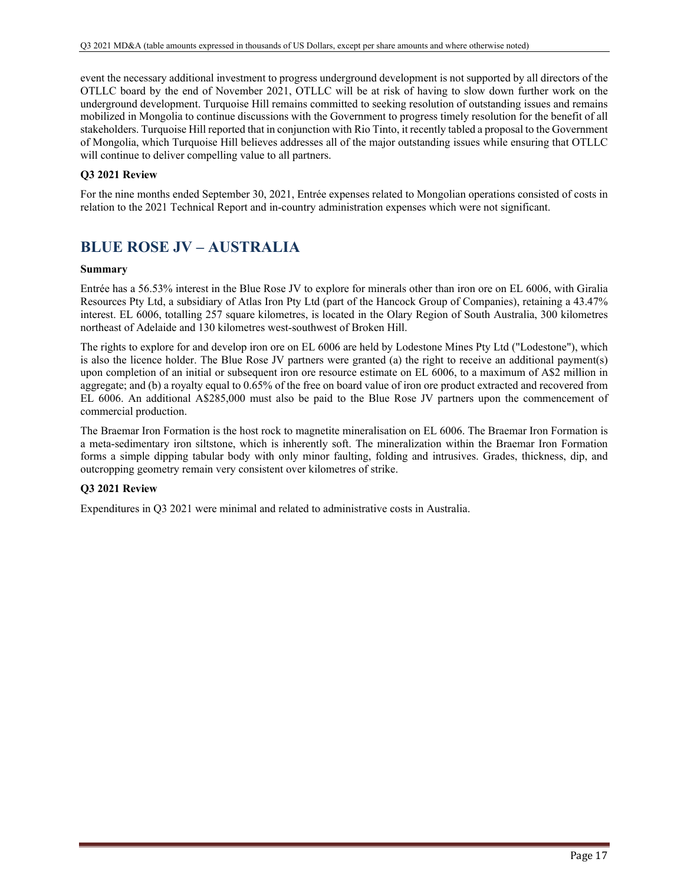event the necessary additional investment to progress underground development is not supported by all directors of the OTLLC board by the end of November 2021, OTLLC will be at risk of having to slow down further work on the underground development. Turquoise Hill remains committed to seeking resolution of outstanding issues and remains mobilized in Mongolia to continue discussions with the Government to progress timely resolution for the benefit of all stakeholders. Turquoise Hill reported that in conjunction with Rio Tinto, it recently tabled a proposal to the Government of Mongolia, which Turquoise Hill believes addresses all of the major outstanding issues while ensuring that OTLLC will continue to deliver compelling value to all partners.

## **Q3 2021 Review**

For the nine months ended September 30, 2021, Entrée expenses related to Mongolian operations consisted of costs in relation to the 2021 Technical Report and in-country administration expenses which were not significant.

# **BLUE ROSE JV – AUSTRALIA**

## **Summary**

Entrée has a 56.53% interest in the Blue Rose JV to explore for minerals other than iron ore on EL 6006, with Giralia Resources Pty Ltd, a subsidiary of Atlas Iron Pty Ltd (part of the Hancock Group of Companies), retaining a 43.47% interest. EL 6006, totalling 257 square kilometres, is located in the Olary Region of South Australia, 300 kilometres northeast of Adelaide and 130 kilometres west-southwest of Broken Hill.

The rights to explore for and develop iron ore on EL 6006 are held by Lodestone Mines Pty Ltd ("Lodestone"), which is also the licence holder. The Blue Rose JV partners were granted (a) the right to receive an additional payment(s) upon completion of an initial or subsequent iron ore resource estimate on EL 6006, to a maximum of A\$2 million in aggregate; and (b) a royalty equal to 0.65% of the free on board value of iron ore product extracted and recovered from EL 6006. An additional A\$285,000 must also be paid to the Blue Rose JV partners upon the commencement of commercial production.

The Braemar Iron Formation is the host rock to magnetite mineralisation on EL 6006. The Braemar Iron Formation is a meta-sedimentary iron siltstone, which is inherently soft. The mineralization within the Braemar Iron Formation forms a simple dipping tabular body with only minor faulting, folding and intrusives. Grades, thickness, dip, and outcropping geometry remain very consistent over kilometres of strike.

## **Q3 2021 Review**

Expenditures in Q3 2021 were minimal and related to administrative costs in Australia.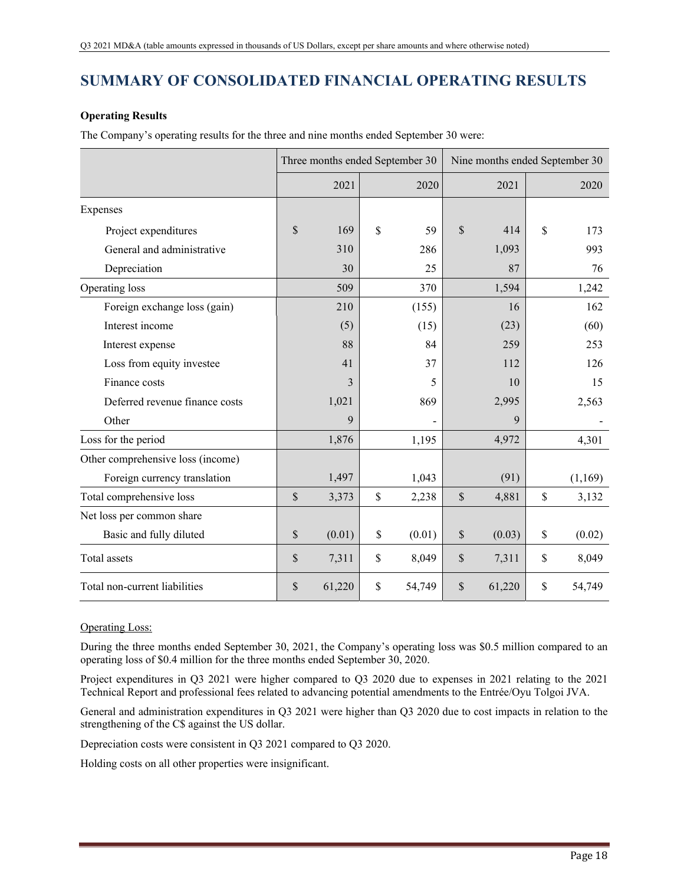# **SUMMARY OF CONSOLIDATED FINANCIAL OPERATING RESULTS**

## **Operating Results**

The Company's operating results for the three and nine months ended September 30 were:

|                                   |               | Three months ended September 30 |      |                |               | Nine months ended September 30 |              |         |  |
|-----------------------------------|---------------|---------------------------------|------|----------------|---------------|--------------------------------|--------------|---------|--|
|                                   |               | 2021                            |      | 2020           |               | 2021                           |              | 2020    |  |
| Expenses                          |               |                                 |      |                |               |                                |              |         |  |
| Project expenditures              | \$            | 169                             | \$   | 59             | \$            | 414                            | \$           | 173     |  |
| General and administrative        |               | 310                             |      | 286            |               | 1,093                          |              | 993     |  |
| Depreciation                      |               | 30                              |      | 25             |               | 87                             |              | 76      |  |
| Operating loss                    |               | 509                             |      | 370            |               | 1,594                          |              | 1,242   |  |
| Foreign exchange loss (gain)      |               | 210                             |      | (155)          |               | 16                             |              | 162     |  |
| Interest income                   |               | (5)                             |      | (15)           |               | (23)                           |              | (60)    |  |
| Interest expense                  |               | 88                              |      | 84             |               | 259                            |              | 253     |  |
| Loss from equity investee         |               | 41                              |      | 37             |               | 112                            |              | 126     |  |
| Finance costs                     |               | 3                               |      | 5              |               | 10                             |              | 15      |  |
| Deferred revenue finance costs    |               | 1,021                           |      | 869            |               | 2,995                          |              | 2,563   |  |
| Other                             |               | 9                               |      | $\blacksquare$ |               | 9                              |              |         |  |
| Loss for the period               |               | 1,876                           |      | 1,195          |               | 4,972                          |              | 4,301   |  |
| Other comprehensive loss (income) |               |                                 |      |                |               |                                |              |         |  |
| Foreign currency translation      |               | 1,497                           |      | 1,043          |               | (91)                           |              | (1,169) |  |
| Total comprehensive loss          | $\mathcal{S}$ | 3,373                           | \$   | 2,238          | $\mathcal{S}$ | 4,881                          | $\mathbb{S}$ | 3,132   |  |
| Net loss per common share         |               |                                 |      |                |               |                                |              |         |  |
| Basic and fully diluted           | $\$$          | (0.01)                          | $\$$ | (0.01)         | \$            | (0.03)                         | \$           | (0.02)  |  |
| Total assets                      | $\$$          | 7,311                           | \$   | 8,049          | \$            | 7,311                          | \$           | 8,049   |  |
| Total non-current liabilities     | \$            | 61,220                          | \$   | 54,749         | \$            | 61,220                         | \$           | 54,749  |  |

## Operating Loss:

During the three months ended September 30, 2021, the Company's operating loss was \$0.5 million compared to an operating loss of \$0.4 million for the three months ended September 30, 2020.

Project expenditures in Q3 2021 were higher compared to Q3 2020 due to expenses in 2021 relating to the 2021 Technical Report and professional fees related to advancing potential amendments to the Entrée/Oyu Tolgoi JVA.

General and administration expenditures in Q3 2021 were higher than Q3 2020 due to cost impacts in relation to the strengthening of the C\$ against the US dollar.

Depreciation costs were consistent in Q3 2021 compared to Q3 2020.

Holding costs on all other properties were insignificant.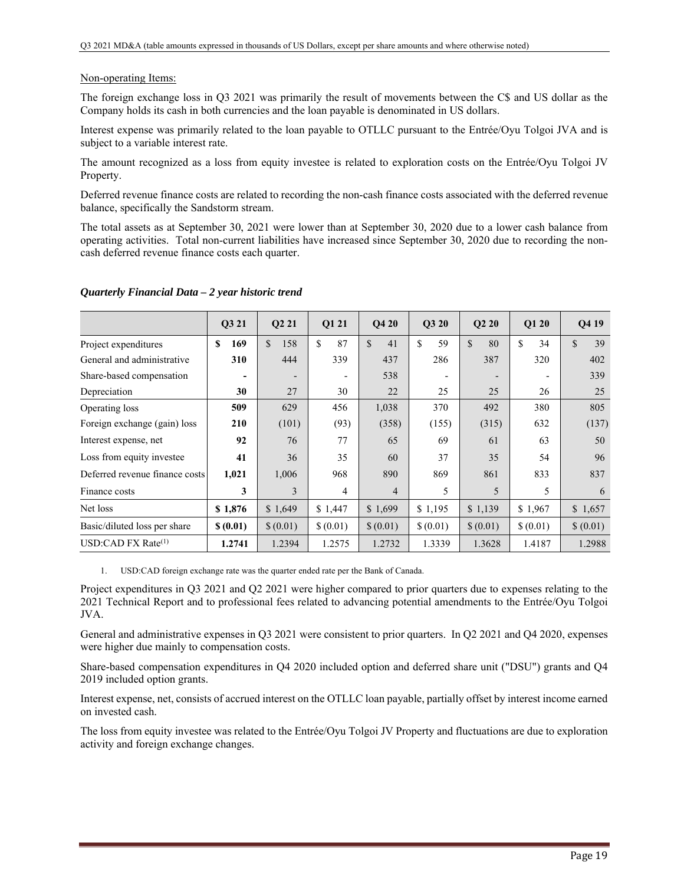### Non-operating Items:

The foreign exchange loss in Q3 2021 was primarily the result of movements between the C\$ and US dollar as the Company holds its cash in both currencies and the loan payable is denominated in US dollars.

Interest expense was primarily related to the loan payable to OTLLC pursuant to the Entrée/Oyu Tolgoi JVA and is subject to a variable interest rate.

The amount recognized as a loss from equity investee is related to exploration costs on the Entrée/Oyu Tolgoi JV Property.

Deferred revenue finance costs are related to recording the non-cash finance costs associated with the deferred revenue balance, specifically the Sandstorm stream.

The total assets as at September 30, 2021 were lower than at September 30, 2020 due to a lower cash balance from operating activities. Total non-current liabilities have increased since September 30, 2020 due to recording the noncash deferred revenue finance costs each quarter.

|                                | Q3 21    | Q <sub>2</sub> 21        | Q1 21                    | Q4 20               | Q3 20    | Q <sub>2</sub> 2 <sub>0</sub> | Q1 20    | Q4 19               |
|--------------------------------|----------|--------------------------|--------------------------|---------------------|----------|-------------------------------|----------|---------------------|
| Project expenditures           | 169<br>S | $\mathcal{S}$<br>158     | 87<br>\$                 | $\mathcal{S}$<br>41 | \$<br>59 | $\mathcal{S}$<br>80           | \$<br>34 | $\mathcal{S}$<br>39 |
| General and administrative     | 310      | 444                      | 339                      | 437                 | 286      | 387                           | 320      | 402                 |
| Share-based compensation       |          | $\overline{\phantom{a}}$ | $\overline{\phantom{0}}$ | 538                 |          |                               |          | 339                 |
| Depreciation                   | 30       | 27                       | 30                       | 22                  | 25       | 25                            | 26       | 25                  |
| Operating loss                 | 509      | 629                      | 456                      | 1,038               | 370      | 492                           | 380      | 805                 |
| Foreign exchange (gain) loss   | 210      | (101)                    | (93)                     | (358)               | (155)    | (315)                         | 632      | (137)               |
| Interest expense, net          | 92       | 76                       | 77                       | 65                  | 69       | 61                            | 63       | 50                  |
| Loss from equity investee      | 41       | 36                       | 35                       | 60                  | 37       | 35                            | 54       | 96                  |
| Deferred revenue finance costs | 1,021    | 1,006                    | 968                      | 890                 | 869      | 861                           | 833      | 837                 |
| Finance costs                  | 3        | 3                        | 4                        | $\overline{4}$      | 5        | 5                             | 5        | 6                   |
| Net loss                       | \$1,876  | \$1,649                  | \$1,447                  | \$1,699             | \$1,195  | \$1,139                       | \$1,967  | \$1,657             |
| Basic/diluted loss per share   | \$(0.01) | \$(0.01)                 | \$(0.01)                 | \$ (0.01)           | \$(0.01) | \$(0.01)                      | \$(0.01) | \$ (0.01)           |
| USD:CAD FX Rate $^{(1)}$       | 1.2741   | 1.2394                   | 1.2575                   | 1.2732              | 1.3339   | 1.3628                        | 1.4187   | 1.2988              |

## *Quarterly Financial Data – 2 year historic trend*

1. USD:CAD foreign exchange rate was the quarter ended rate per the Bank of Canada.

Project expenditures in Q3 2021 and Q2 2021 were higher compared to prior quarters due to expenses relating to the 2021 Technical Report and to professional fees related to advancing potential amendments to the Entrée/Oyu Tolgoi JVA.

General and administrative expenses in Q3 2021 were consistent to prior quarters. In Q2 2021 and Q4 2020, expenses were higher due mainly to compensation costs.

Share-based compensation expenditures in Q4 2020 included option and deferred share unit ("DSU") grants and Q4 2019 included option grants.

Interest expense, net, consists of accrued interest on the OTLLC loan payable, partially offset by interest income earned on invested cash.

The loss from equity investee was related to the Entrée/Oyu Tolgoi JV Property and fluctuations are due to exploration activity and foreign exchange changes.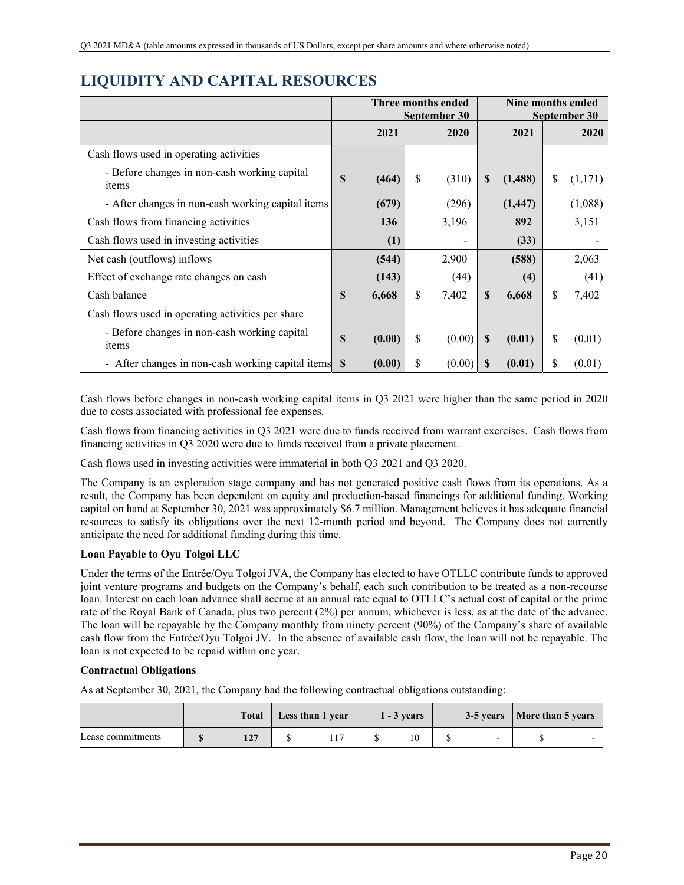|                                                       | Three months ended<br><b>September 30</b> |        |    |        | Nine months ended<br>September 30 |          |    |         |
|-------------------------------------------------------|-------------------------------------------|--------|----|--------|-----------------------------------|----------|----|---------|
|                                                       |                                           | 2021   |    | 2020   |                                   | 2021     |    | 2020    |
| Cash flows used in operating activities               |                                           |        |    |        |                                   |          |    |         |
| - Before changes in non-cash working capital<br>items | \$                                        | (464)  | \$ | (310)  | S                                 | (1, 488) | \$ | (1,171) |
| - After changes in non-cash working capital items     |                                           | (679)  |    | (296)  |                                   | (1, 447) |    | (1,088) |
| Cash flows from financing activities                  |                                           | 136    |    | 3,196  |                                   | 892      |    | 3,151   |
| Cash flows used in investing activities               |                                           | (1)    |    | ٠      |                                   | (33)     |    |         |
| Net cash (outflows) inflows                           |                                           | (544)  |    | 2,900  |                                   | (588)    |    | 2,063   |
| Effect of exchange rate changes on cash               |                                           | (143)  |    | (44)   |                                   | (4)      |    | (41)    |
| Cash balance                                          | \$                                        | 6,668  | \$ | 7,402  | $\mathbf{\$}$                     | 6,668    | S  | 7,402   |
| Cash flows used in operating activities per share     |                                           |        |    |        |                                   |          |    |         |
| - Before changes in non-cash working capital<br>items | \$                                        | (0.00) | \$ | (0.00) | <b>S</b>                          | (0.01)   | \$ | (0.01)  |
| - After changes in non-cash working capital items     | S                                         | (0.00) | \$ | (0.00) | <sup>\$</sup>                     | (0.01)   | \$ | (0.01)  |

# **LIQUIDITY AND CAPITAL RESOURCES**

Cash flows before changes in non-cash working capital items in Q3 2021 were higher than the same period in 2020 due to costs associated with professional fee expenses.

Cash flows from financing activities in Q3 2021 were due to funds received from warrant exercises. Cash flows from financing activities in Q3 2020 were due to funds received from a private placement.

Cash flows used in investing activities were immaterial in both Q3 2021 and Q3 2020.

The Company is an exploration stage company and has not generated positive cash flows from its operations. As a result, the Company has been dependent on equity and production-based financings for additional funding. Working capital on hand at September 30, 2021 was approximately \$6.7 million. Management believes it has adequate financial resources to satisfy its obligations over the next 12-month period and beyond. The Company does not currently anticipate the need for additional funding during this time.

## **Loan Payable to Oyu Tolgoi LLC**

Under the terms of the Entrée/Oyu Tolgoi JVA, the Company has elected to have OTLLC contribute funds to approved joint venture programs and budgets on the Company's behalf, each such contribution to be treated as a non-recourse loan. Interest on each loan advance shall accrue at an annual rate equal to OTLLC's actual cost of capital or the prime rate of the Royal Bank of Canada, plus two percent (2%) per annum, whichever is less, as at the date of the advance. The loan will be repayable by the Company monthly from ninety percent (90%) of the Company's share of available cash flow from the Entrée/Oyu Tolgoi JV. In the absence of available cash flow, the loan will not be repayable. The loan is not expected to be repaid within one year.

## **Contractual Obligations**

As at September 30, 2021, the Company had the following contractual obligations outstanding:

|                   | <b>Total</b> | Less than 1 year | $1 - 3$ vears |  |  |  | 3-5 years   More than 5 years |  |
|-------------------|--------------|------------------|---------------|--|--|--|-------------------------------|--|
| Lease commitments |              |                  |               |  |  |  |                               |  |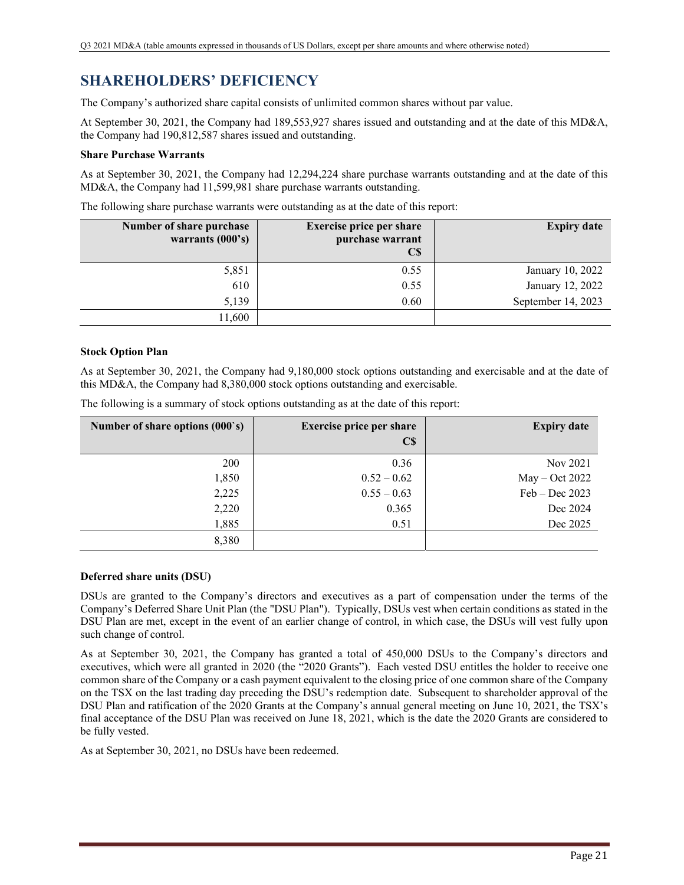# **SHAREHOLDERS' DEFICIENCY**

The Company's authorized share capital consists of unlimited common shares without par value.

At September 30, 2021, the Company had 189,553,927 shares issued and outstanding and at the date of this MD&A, the Company had 190,812,587 shares issued and outstanding.

## **Share Purchase Warrants**

As at September 30, 2021, the Company had 12,294,224 share purchase warrants outstanding and at the date of this MD&A, the Company had 11,599,981 share purchase warrants outstanding.

|  |  |  | The following share purchase warrants were outstanding as at the date of this report: |  |  |
|--|--|--|---------------------------------------------------------------------------------------|--|--|
|  |  |  |                                                                                       |  |  |

| Number of share purchase<br>warrants $(000's)$ | <b>Exercise price per share</b><br>purchase warrant<br>C\$ | <b>Expiry date</b> |
|------------------------------------------------|------------------------------------------------------------|--------------------|
| 5,851                                          | 0.55                                                       | January 10, 2022   |
| 610                                            | 0.55                                                       | January 12, 2022   |
| 5,139                                          | 0.60                                                       | September 14, 2023 |
| 11,600                                         |                                                            |                    |

## **Stock Option Plan**

As at September 30, 2021, the Company had 9,180,000 stock options outstanding and exercisable and at the date of this MD&A, the Company had 8,380,000 stock options outstanding and exercisable.

| Number of share options (000's) | <b>Exercise price per share</b> | <b>Expiry date</b> |
|---------------------------------|---------------------------------|--------------------|
|                                 | $\mathbf{C}\mathbf{S}$          |                    |
| 200                             | 0.36                            | Nov 2021           |
| 1,850                           | $0.52 - 0.62$                   | $May - Oct 2022$   |
| 2,225                           | $0.55 - 0.63$                   | $Feb - Dec 2023$   |
| 2,220                           | 0.365                           | Dec 2024           |
| 1,885                           | 0.51                            | Dec 2025           |
| 8,380                           |                                 |                    |

The following is a summary of stock options outstanding as at the date of this report:

## **Deferred share units (DSU)**

DSUs are granted to the Company's directors and executives as a part of compensation under the terms of the Company's Deferred Share Unit Plan (the "DSU Plan"). Typically, DSUs vest when certain conditions as stated in the DSU Plan are met, except in the event of an earlier change of control, in which case, the DSUs will vest fully upon such change of control.

As at September 30, 2021, the Company has granted a total of 450,000 DSUs to the Company's directors and executives, which were all granted in 2020 (the "2020 Grants"). Each vested DSU entitles the holder to receive one common share of the Company or a cash payment equivalent to the closing price of one common share of the Company on the TSX on the last trading day preceding the DSU's redemption date. Subsequent to shareholder approval of the DSU Plan and ratification of the 2020 Grants at the Company's annual general meeting on June 10, 2021, the TSX's final acceptance of the DSU Plan was received on June 18, 2021, which is the date the 2020 Grants are considered to be fully vested.

As at September 30, 2021, no DSUs have been redeemed.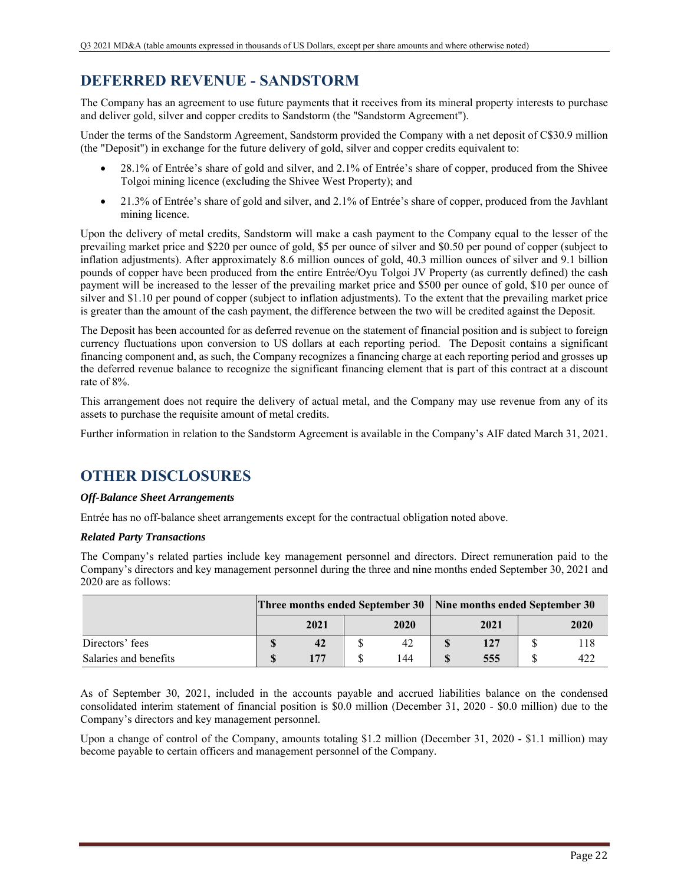# **DEFERRED REVENUE - SANDSTORM**

The Company has an agreement to use future payments that it receives from its mineral property interests to purchase and deliver gold, silver and copper credits to Sandstorm (the "Sandstorm Agreement").

Under the terms of the Sandstorm Agreement, Sandstorm provided the Company with a net deposit of C\$30.9 million (the "Deposit") in exchange for the future delivery of gold, silver and copper credits equivalent to:

- 28.1% of Entrée's share of gold and silver, and 2.1% of Entrée's share of copper, produced from the Shivee Tolgoi mining licence (excluding the Shivee West Property); and
- 21.3% of Entrée's share of gold and silver, and 2.1% of Entrée's share of copper, produced from the Javhlant mining licence.

Upon the delivery of metal credits, Sandstorm will make a cash payment to the Company equal to the lesser of the prevailing market price and \$220 per ounce of gold, \$5 per ounce of silver and \$0.50 per pound of copper (subject to inflation adjustments). After approximately 8.6 million ounces of gold, 40.3 million ounces of silver and 9.1 billion pounds of copper have been produced from the entire Entrée/Oyu Tolgoi JV Property (as currently defined) the cash payment will be increased to the lesser of the prevailing market price and \$500 per ounce of gold, \$10 per ounce of silver and \$1.10 per pound of copper (subject to inflation adjustments). To the extent that the prevailing market price is greater than the amount of the cash payment, the difference between the two will be credited against the Deposit.

The Deposit has been accounted for as deferred revenue on the statement of financial position and is subject to foreign currency fluctuations upon conversion to US dollars at each reporting period. The Deposit contains a significant financing component and, as such, the Company recognizes a financing charge at each reporting period and grosses up the deferred revenue balance to recognize the significant financing element that is part of this contract at a discount rate of 8%.

This arrangement does not require the delivery of actual metal, and the Company may use revenue from any of its assets to purchase the requisite amount of metal credits.

Further information in relation to the Sandstorm Agreement is available in the Company's AIF dated March 31, 2021.

# **OTHER DISCLOSURES**

## *Off-Balance Sheet Arrangements*

Entrée has no off-balance sheet arrangements except for the contractual obligation noted above.

## *Related Party Transactions*

The Company's related parties include key management personnel and directors. Direct remuneration paid to the Company's directors and key management personnel during the three and nine months ended September 30, 2021 and 2020 are as follows:

|                       | <b>Three months ended September 30</b> Nine months ended September 30 |      |  |      |  |      |  |      |  |  |
|-----------------------|-----------------------------------------------------------------------|------|--|------|--|------|--|------|--|--|
|                       |                                                                       | 2021 |  | 2020 |  | 2021 |  | 2020 |  |  |
| Directors' fees       |                                                                       | 42   |  | 42   |  | 127  |  | 118  |  |  |
| Salaries and benefits |                                                                       | 177  |  | 144  |  | 555  |  | 422  |  |  |

As of September 30, 2021, included in the accounts payable and accrued liabilities balance on the condensed consolidated interim statement of financial position is \$0.0 million (December 31, 2020 - \$0.0 million) due to the Company's directors and key management personnel.

Upon a change of control of the Company, amounts totaling \$1.2 million (December 31, 2020 - \$1.1 million) may become payable to certain officers and management personnel of the Company.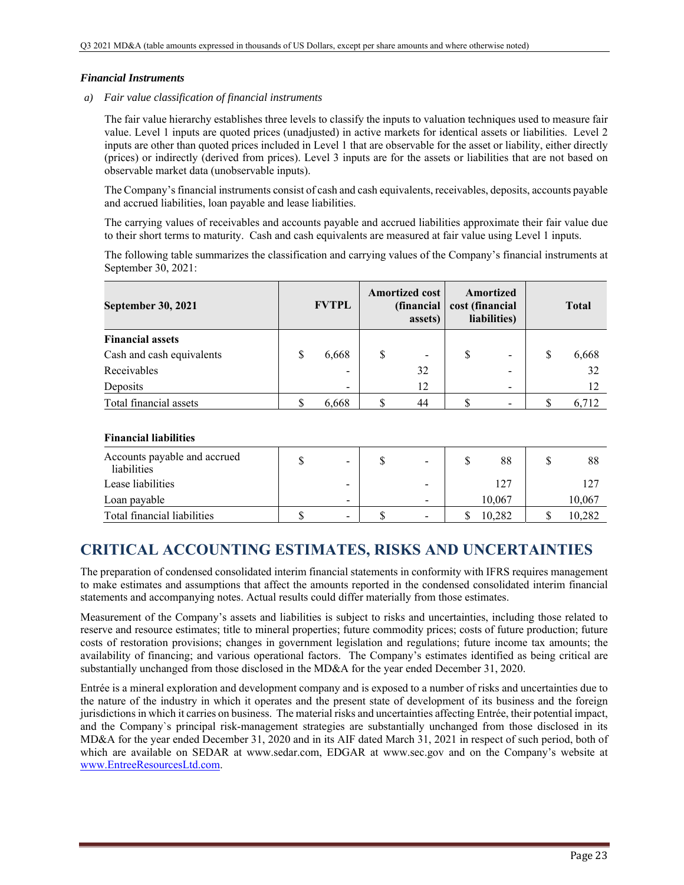## *Financial Instruments*

*a) Fair value classification of financial instruments* 

The fair value hierarchy establishes three levels to classify the inputs to valuation techniques used to measure fair value. Level 1 inputs are quoted prices (unadjusted) in active markets for identical assets or liabilities. Level 2 inputs are other than quoted prices included in Level 1 that are observable for the asset or liability, either directly (prices) or indirectly (derived from prices). Level 3 inputs are for the assets or liabilities that are not based on observable market data (unobservable inputs).

The Company's financial instruments consist of cash and cash equivalents, receivables, deposits, accounts payable and accrued liabilities, loan payable and lease liabilities.

The carrying values of receivables and accounts payable and accrued liabilities approximate their fair value due to their short terms to maturity. Cash and cash equivalents are measured at fair value using Level 1 inputs.

The following table summarizes the classification and carrying values of the Company's financial instruments at September 30, 2021:

| <b>September 30, 2021</b> |   | <b>FVTPL</b>             | <b>Amortized cost</b><br>(financial<br>assets) | cost (financial | Amortized<br>liabilities) | <b>Total</b> |       |
|---------------------------|---|--------------------------|------------------------------------------------|-----------------|---------------------------|--------------|-------|
| <b>Financial assets</b>   |   |                          |                                                |                 |                           |              |       |
| Cash and cash equivalents | S | 6,668                    |                                                |                 | -                         | \$           | 6,668 |
| Receivables               |   |                          | 32                                             |                 | -                         |              | 32    |
| Deposits                  |   | $\overline{\phantom{a}}$ | 12                                             |                 | $\overline{\phantom{0}}$  |              | 12    |
| Total financial assets    |   | 6,668                    | 44                                             |                 |                           |              | 6,712 |

## **Financial liabilities**

| Accounts payable and accrued<br>liabilities | $\overline{\phantom{a}}$ | $\overline{\phantom{0}}$ | 88              | 88     |
|---------------------------------------------|--------------------------|--------------------------|-----------------|--------|
| Lease liabilities                           | $\overline{\phantom{a}}$ | -                        | 12 <sup>7</sup> | 127    |
| Loan payable                                | -                        | -                        | 10,067          | 10,067 |
| Total financial liabilities                 | $\overline{\phantom{0}}$ | $\overline{\phantom{0}}$ | 10.282          | 10,282 |

## **CRITICAL ACCOUNTING ESTIMATES, RISKS AND UNCERTAINTIES**

The preparation of condensed consolidated interim financial statements in conformity with IFRS requires management to make estimates and assumptions that affect the amounts reported in the condensed consolidated interim financial statements and accompanying notes. Actual results could differ materially from those estimates.

Measurement of the Company's assets and liabilities is subject to risks and uncertainties, including those related to reserve and resource estimates; title to mineral properties; future commodity prices; costs of future production; future costs of restoration provisions; changes in government legislation and regulations; future income tax amounts; the availability of financing; and various operational factors. The Company's estimates identified as being critical are substantially unchanged from those disclosed in the MD&A for the year ended December 31, 2020.

Entrée is a mineral exploration and development company and is exposed to a number of risks and uncertainties due to the nature of the industry in which it operates and the present state of development of its business and the foreign jurisdictions in which it carries on business. The material risks and uncertainties affecting Entrée, their potential impact, and the Company`s principal risk-management strategies are substantially unchanged from those disclosed in its MD&A for the year ended December 31, 2020 and in its AIF dated March 31, 2021 in respect of such period, both of which are available on SEDAR at www.sedar.com, EDGAR at www.sec.gov and on the Company's website at www.EntreeResourcesLtd.com.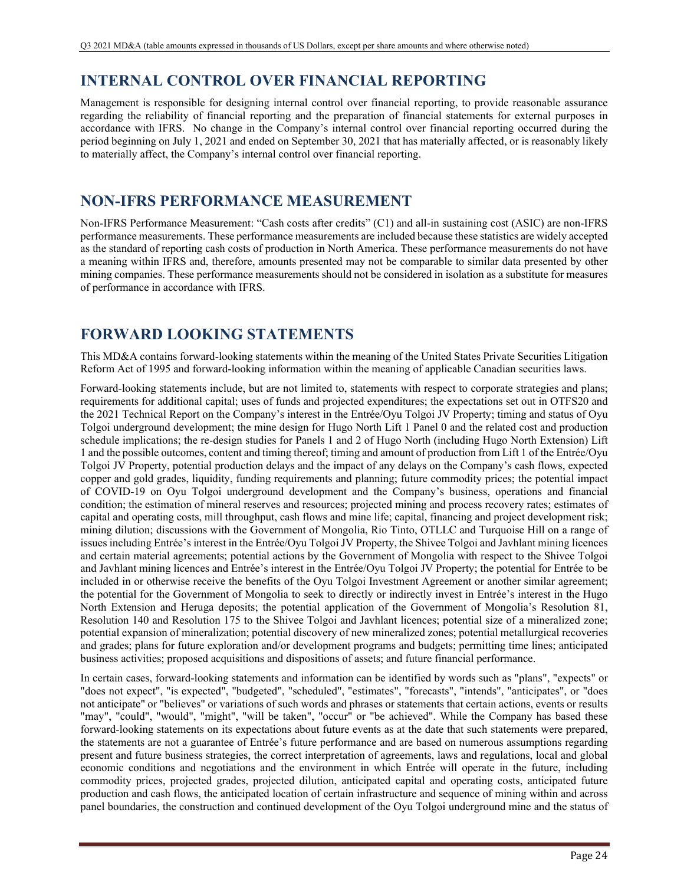# **INTERNAL CONTROL OVER FINANCIAL REPORTING**

Management is responsible for designing internal control over financial reporting, to provide reasonable assurance regarding the reliability of financial reporting and the preparation of financial statements for external purposes in accordance with IFRS. No change in the Company's internal control over financial reporting occurred during the period beginning on July 1, 2021 and ended on September 30, 2021 that has materially affected, or is reasonably likely to materially affect, the Company's internal control over financial reporting.

# **NON-IFRS PERFORMANCE MEASUREMENT**

Non-IFRS Performance Measurement: "Cash costs after credits" (C1) and all-in sustaining cost (ASIC) are non-IFRS performance measurements. These performance measurements are included because these statistics are widely accepted as the standard of reporting cash costs of production in North America. These performance measurements do not have a meaning within IFRS and, therefore, amounts presented may not be comparable to similar data presented by other mining companies. These performance measurements should not be considered in isolation as a substitute for measures of performance in accordance with IFRS.

# **FORWARD LOOKING STATEMENTS**

This MD&A contains forward-looking statements within the meaning of the United States Private Securities Litigation Reform Act of 1995 and forward-looking information within the meaning of applicable Canadian securities laws.

Forward-looking statements include, but are not limited to, statements with respect to corporate strategies and plans; requirements for additional capital; uses of funds and projected expenditures; the expectations set out in OTFS20 and the 2021 Technical Report on the Company's interest in the Entrée/Oyu Tolgoi JV Property; timing and status of Oyu Tolgoi underground development; the mine design for Hugo North Lift 1 Panel 0 and the related cost and production schedule implications; the re-design studies for Panels 1 and 2 of Hugo North (including Hugo North Extension) Lift 1 and the possible outcomes, content and timing thereof; timing and amount of production from Lift 1 of the Entrée/Oyu Tolgoi JV Property, potential production delays and the impact of any delays on the Company's cash flows, expected copper and gold grades, liquidity, funding requirements and planning; future commodity prices; the potential impact of COVID-19 on Oyu Tolgoi underground development and the Company's business, operations and financial condition; the estimation of mineral reserves and resources; projected mining and process recovery rates; estimates of capital and operating costs, mill throughput, cash flows and mine life; capital, financing and project development risk; mining dilution; discussions with the Government of Mongolia, Rio Tinto, OTLLC and Turquoise Hill on a range of issues including Entrée's interest in the Entrée/Oyu Tolgoi JV Property, the Shivee Tolgoi and Javhlant mining licences and certain material agreements; potential actions by the Government of Mongolia with respect to the Shivee Tolgoi and Javhlant mining licences and Entrée's interest in the Entrée/Oyu Tolgoi JV Property; the potential for Entrée to be included in or otherwise receive the benefits of the Oyu Tolgoi Investment Agreement or another similar agreement; the potential for the Government of Mongolia to seek to directly or indirectly invest in Entrée's interest in the Hugo North Extension and Heruga deposits; the potential application of the Government of Mongolia's Resolution 81, Resolution 140 and Resolution 175 to the Shivee Tolgoi and Javhlant licences; potential size of a mineralized zone; potential expansion of mineralization; potential discovery of new mineralized zones; potential metallurgical recoveries and grades; plans for future exploration and/or development programs and budgets; permitting time lines; anticipated business activities; proposed acquisitions and dispositions of assets; and future financial performance.

In certain cases, forward-looking statements and information can be identified by words such as "plans", "expects" or "does not expect", "is expected", "budgeted", "scheduled", "estimates", "forecasts", "intends", "anticipates", or "does not anticipate" or "believes" or variations of such words and phrases or statements that certain actions, events or results "may", "could", "would", "might", "will be taken", "occur" or "be achieved". While the Company has based these forward-looking statements on its expectations about future events as at the date that such statements were prepared, the statements are not a guarantee of Entrée's future performance and are based on numerous assumptions regarding present and future business strategies, the correct interpretation of agreements, laws and regulations, local and global economic conditions and negotiations and the environment in which Entrée will operate in the future, including commodity prices, projected grades, projected dilution, anticipated capital and operating costs, anticipated future production and cash flows, the anticipated location of certain infrastructure and sequence of mining within and across panel boundaries, the construction and continued development of the Oyu Tolgoi underground mine and the status of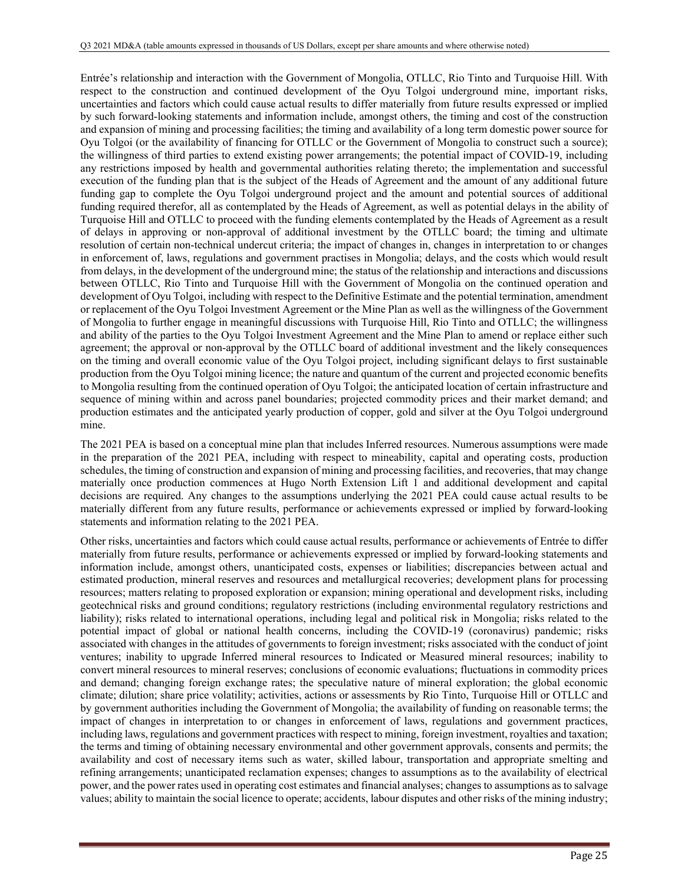Entrée's relationship and interaction with the Government of Mongolia, OTLLC, Rio Tinto and Turquoise Hill. With respect to the construction and continued development of the Oyu Tolgoi underground mine, important risks, uncertainties and factors which could cause actual results to differ materially from future results expressed or implied by such forward-looking statements and information include, amongst others, the timing and cost of the construction and expansion of mining and processing facilities; the timing and availability of a long term domestic power source for Oyu Tolgoi (or the availability of financing for OTLLC or the Government of Mongolia to construct such a source); the willingness of third parties to extend existing power arrangements; the potential impact of COVID-19, including any restrictions imposed by health and governmental authorities relating thereto; the implementation and successful execution of the funding plan that is the subject of the Heads of Agreement and the amount of any additional future funding gap to complete the Oyu Tolgoi underground project and the amount and potential sources of additional funding required therefor, all as contemplated by the Heads of Agreement, as well as potential delays in the ability of Turquoise Hill and OTLLC to proceed with the funding elements contemplated by the Heads of Agreement as a result of delays in approving or non-approval of additional investment by the OTLLC board; the timing and ultimate resolution of certain non-technical undercut criteria; the impact of changes in, changes in interpretation to or changes in enforcement of, laws, regulations and government practises in Mongolia; delays, and the costs which would result from delays, in the development of the underground mine; the status of the relationship and interactions and discussions between OTLLC, Rio Tinto and Turquoise Hill with the Government of Mongolia on the continued operation and development of Oyu Tolgoi, including with respect to the Definitive Estimate and the potential termination, amendment or replacement of the Oyu Tolgoi Investment Agreement or the Mine Plan as well as the willingness of the Government of Mongolia to further engage in meaningful discussions with Turquoise Hill, Rio Tinto and OTLLC; the willingness and ability of the parties to the Oyu Tolgoi Investment Agreement and the Mine Plan to amend or replace either such agreement; the approval or non-approval by the OTLLC board of additional investment and the likely consequences on the timing and overall economic value of the Oyu Tolgoi project, including significant delays to first sustainable production from the Oyu Tolgoi mining licence; the nature and quantum of the current and projected economic benefits to Mongolia resulting from the continued operation of Oyu Tolgoi; the anticipated location of certain infrastructure and sequence of mining within and across panel boundaries; projected commodity prices and their market demand; and production estimates and the anticipated yearly production of copper, gold and silver at the Oyu Tolgoi underground mine.

The 2021 PEA is based on a conceptual mine plan that includes Inferred resources. Numerous assumptions were made in the preparation of the 2021 PEA, including with respect to mineability, capital and operating costs, production schedules, the timing of construction and expansion of mining and processing facilities, and recoveries, that may change materially once production commences at Hugo North Extension Lift 1 and additional development and capital decisions are required. Any changes to the assumptions underlying the 2021 PEA could cause actual results to be materially different from any future results, performance or achievements expressed or implied by forward-looking statements and information relating to the 2021 PEA.

Other risks, uncertainties and factors which could cause actual results, performance or achievements of Entrée to differ materially from future results, performance or achievements expressed or implied by forward-looking statements and information include, amongst others, unanticipated costs, expenses or liabilities; discrepancies between actual and estimated production, mineral reserves and resources and metallurgical recoveries; development plans for processing resources; matters relating to proposed exploration or expansion; mining operational and development risks, including geotechnical risks and ground conditions; regulatory restrictions (including environmental regulatory restrictions and liability); risks related to international operations, including legal and political risk in Mongolia; risks related to the potential impact of global or national health concerns, including the COVID-19 (coronavirus) pandemic; risks associated with changes in the attitudes of governments to foreign investment; risks associated with the conduct of joint ventures; inability to upgrade Inferred mineral resources to Indicated or Measured mineral resources; inability to convert mineral resources to mineral reserves; conclusions of economic evaluations; fluctuations in commodity prices and demand; changing foreign exchange rates; the speculative nature of mineral exploration; the global economic climate; dilution; share price volatility; activities, actions or assessments by Rio Tinto, Turquoise Hill or OTLLC and by government authorities including the Government of Mongolia; the availability of funding on reasonable terms; the impact of changes in interpretation to or changes in enforcement of laws, regulations and government practices, including laws, regulations and government practices with respect to mining, foreign investment, royalties and taxation; the terms and timing of obtaining necessary environmental and other government approvals, consents and permits; the availability and cost of necessary items such as water, skilled labour, transportation and appropriate smelting and refining arrangements; unanticipated reclamation expenses; changes to assumptions as to the availability of electrical power, and the power rates used in operating cost estimates and financial analyses; changes to assumptions as to salvage values; ability to maintain the social licence to operate; accidents, labour disputes and other risks of the mining industry;